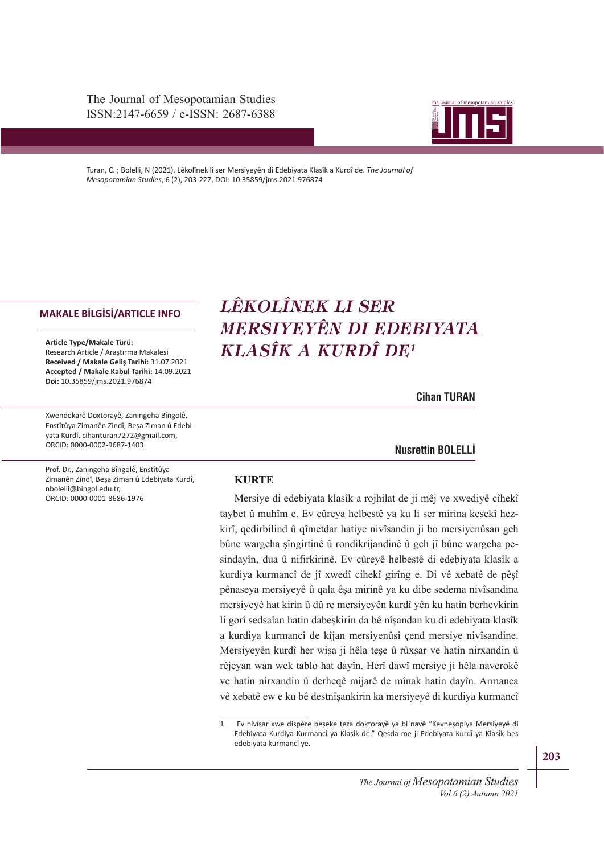The Journal of Mesopotamian Studies ISSN:2147-6659 / e-ISSN: 2687-6388



Turan, C. ; Bolelli, N (2021). Lêkolînek li ser Mersiyeyên di Edebiyata Klasîk a Kurdî de. *The Journal of Mesopotamian Studies*, 6 (2), 203-227, DOI: 10.35859/jms.2021.976874

#### **MAKALE BİLGİSİ/ARTICLE INFO**

**Article Type/Makale Türü:**  Research Article / Araştırma Makalesi **Received / Makale Geliş Tarihi:** 31.07.2021 **Accepted / Makale Kabul Tarihi:** 14.09.2021 **Doi:** 10.35859/jms.2021.976874

Xwendekarê Doxtorayê, Zaningeha Bîngolê, Enstîtûya Zimanên Zindî, Beşa Ziman û Edebiyata Kurdî, cihanturan7272@gmail.com, ORCID: 0000-0002-9687-1403.

Prof. Dr., Zaningeha Bîngolê, Enstîtûya Zimanên Zindî, Beşa Ziman û Edebiyata Kurdî,

nbolelli@bingol.edu.tr, ORCID: 0000-0001-8686-1976

e-ISSN: 2687-6388 *MERSIYEYÊN DI EDEBIYATA LÊKOLÎNEK LI SER KLASÎK A KURDÎ DE<sup>1</sup>*

**Cihan TURAN**

#### **Cihan TURAN • Nusrettin BOLELLİ**

#### **KURTE**

Mersiye di edebiyata klasîk a rojhilat de ji mêj ve xwediyê cîhekî taybet û muhîm e. Ev cûreya helbestê ya ku li ser mirina kesekî hezkirî, qedirbilind û qîmetdar hatiye nivîsandin ji bo mersiyenûsan geh bûne wargeha şîngirtinê û rondikrijandinê û geh jî bûne wargeha pesindayîn, dua û nifirkirinê. Ev cûreyê helbestê di edebiyata klasîk a kurdiya kurmancî de jî xwedî cihekî girîng e. Di vê xebatê de pêşî pênaseya mersiyeyê û qala êşa mirinê ya ku dibe sedema nivîsandina mersiyeyê hat kirin û dû re mersiyeyên kurdî yên ku hatin berhevkirin li gorî sedsalan hatin dabeşkirin da bê nîşandan ku di edebiyata klasîk a kurdiya kurmancî de kîjan mersiyenûsî çend mersiye nivîsandine. Mersiyeyên kurdî her wisa ji hêla teşe û rûxsar ve hatin nirxandin û rêjeyan wan wek tablo hat dayîn. Herî dawî mersiye ji hêla naverokê ve hatin nirxandin û derheqê mijarê de mînak hatin dayîn. Armanca vê xebatê ew e ku bê destnîşankirin ka mersiyeyê di kurdiya kurmancî

<sup>1</sup> Ev nivîsar xwe dispêre beşeke teza doktorayê ya bi navê "Kevneşopiya Mersiyeyê di Edebiyata Kurdiya Kurmancî ya Klasîk de." Qesda me ji Edebiyata Kurdî ya Klasîk bes edebiyata kurmancî ye.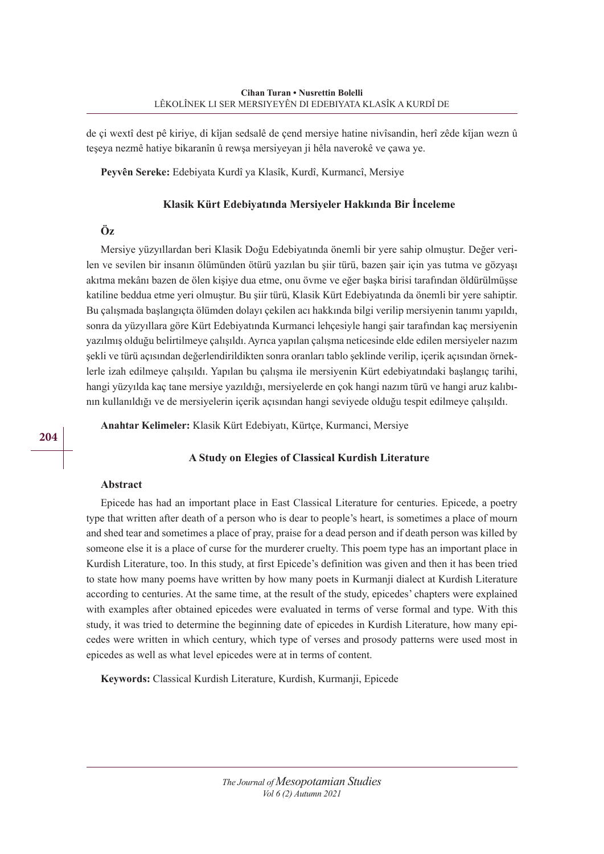de çi wextî dest pê kiriye, di kîjan sedsalê de çend mersiye hatine nivîsandin, herî zêde kîjan wezn û teşeya nezmê hatiye bikaranîn û rewşa mersiyeyan ji hêla naverokê ve çawa ye.

**Peyvên Sereke:** Edebiyata Kurdî ya Klasîk, Kurdî, Kurmancî, Mersiye

#### **Klasik Kürt Edebiyatında Mersiyeler Hakkında Bir İnceleme**

## **Öz**

Mersiye yüzyıllardan beri Klasik Doğu Edebiyatında önemli bir yere sahip olmuştur. Değer verilen ve sevilen bir insanın ölümünden ötürü yazılan bu şiir türü, bazen şair için yas tutma ve gözyaşı akıtma mekânı bazen de ölen kişiye dua etme, onu övme ve eğer başka birisi tarafından öldürülmüşse katiline beddua etme yeri olmuştur. Bu şiir türü, Klasik Kürt Edebiyatında da önemli bir yere sahiptir. Bu çalışmada başlangıçta ölümden dolayı çekilen acı hakkında bilgi verilip mersiyenin tanımı yapıldı, sonra da yüzyıllara göre Kürt Edebiyatında Kurmanci lehçesiyle hangi şair tarafından kaç mersiyenin yazılmış olduğu belirtilmeye çalışıldı. Ayrıca yapılan çalışma neticesinde elde edilen mersiyeler nazım şekli ve türü açısından değerlendirildikten sonra oranları tablo şeklinde verilip, içerik açısından örneklerle izah edilmeye çalışıldı. Yapılan bu çalışma ile mersiyenin Kürt edebiyatındaki başlangıç tarihi, hangi yüzyılda kaç tane mersiye yazıldığı, mersiyelerde en çok hangi nazım türü ve hangi aruz kalıbının kullanıldığı ve de mersiyelerin içerik açısından hangi seviyede olduğu tespit edilmeye çalışıldı.

**Anahtar Kelimeler:** Klasik Kürt Edebiyatı, Kürtçe, Kurmanci, Mersiye

## **A Study on Elegies of Classical Kurdish Literature**

### **Abstract**

Epicede has had an important place in East Classical Literature for centuries. Epicede, a poetry type that written after death of a person who is dear to people's heart, is sometimes a place of mourn and shed tear and sometimes a place of pray, praise for a dead person and if death person was killed by someone else it is a place of curse for the murderer cruelty. This poem type has an important place in Kurdish Literature, too. In this study, at first Epicede's definition was given and then it has been tried to state how many poems have written by how many poets in Kurmanji dialect at Kurdish Literature according to centuries. At the same time, at the result of the study, epicedes' chapters were explained with examples after obtained epicedes were evaluated in terms of verse formal and type. With this study, it was tried to determine the beginning date of epicedes in Kurdish Literature, how many epicedes were written in which century, which type of verses and prosody patterns were used most in epicedes as well as what level epicedes were at in terms of content.

**Keywords:** Classical Kurdish Literature, Kurdish, Kurmanji, Epicede

*The Journal of Mesopotamian Studies Vol 6 (2) Autumn 2021*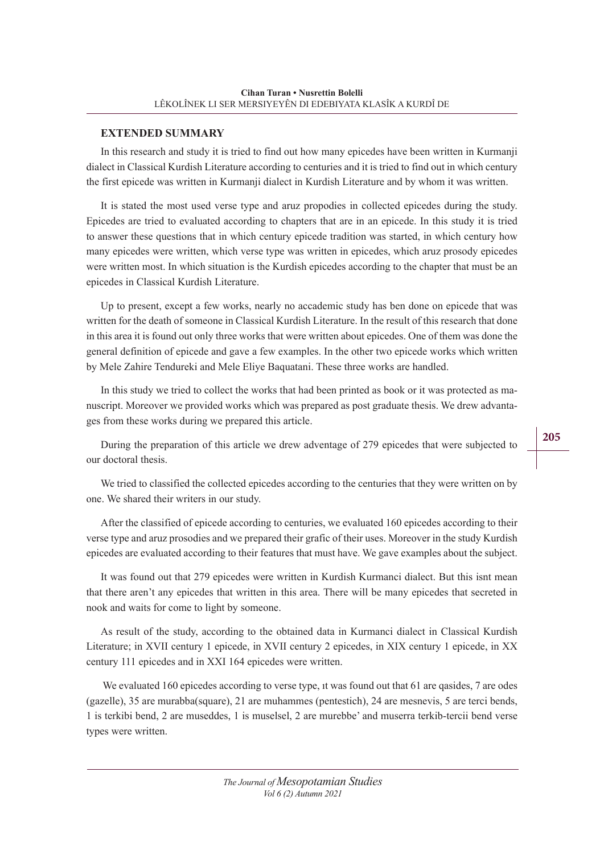## **EXTENDED SUMMARY**

In this research and study it is tried to find out how many epicedes have been written in Kurmanji dialect in Classical Kurdish Literature according to centuries and it is tried to find out in which century the first epicede was written in Kurmanji dialect in Kurdish Literature and by whom it was written.

It is stated the most used verse type and aruz propodies in collected epicedes during the study. Epicedes are tried to evaluated according to chapters that are in an epicede. In this study it is tried to answer these questions that in which century epicede tradition was started, in which century how many epicedes were written, which verse type was written in epicedes, which aruz prosody epicedes were written most. In which situation is the Kurdish epicedes according to the chapter that must be an epicedes in Classical Kurdish Literature.

Up to present, except a few works, nearly no accademic study has ben done on epicede that was written for the death of someone in Classical Kurdish Literature. In the result of this research that done in this area it is found out only three works that were written about epicedes. One of them was done the general definition of epicede and gave a few examples. In the other two epicede works which written by Mele Zahire Tendureki and Mele Eliye Baquatani. These three works are handled.

In this study we tried to collect the works that had been printed as book or it was protected as manuscript. Moreover we provided works which was prepared as post graduate thesis. We drew advantages from these works during we prepared this article.

During the preparation of this article we drew adventage of 279 epicedes that were subjected to our doctoral thesis.

We tried to classified the collected epicedes according to the centuries that they were written on by one. We shared their writers in our study.

After the classified of epicede according to centuries, we evaluated 160 epicedes according to their verse type and aruz prosodies and we prepared their grafic of their uses. Moreover in the study Kurdish epicedes are evaluated according to their features that must have. We gave examples about the subject.

It was found out that 279 epicedes were written in Kurdish Kurmanci dialect. But this isnt mean that there aren't any epicedes that written in this area. There will be many epicedes that secreted in nook and waits for come to light by someone.

As result of the study, according to the obtained data in Kurmanci dialect in Classical Kurdish Literature; in XVII century 1 epicede, in XVII century 2 epicedes, in XIX century 1 epicede, in XX century 111 epicedes and in XXI 164 epicedes were written.

We evaluated 160 epicedes according to verse type, it was found out that 61 are gasides, 7 are odes (gazelle), 35 are murabba(square), 21 are muhammes (pentestich), 24 are mesnevis, 5 are terci bends, 1 is terkibi bend, 2 are museddes, 1 is muselsel, 2 are murebbe' and muserra terkib-tercii bend verse types were written.

> *The Journal of Mesopotamian Studies Vol 6 (2) Autumn 2021*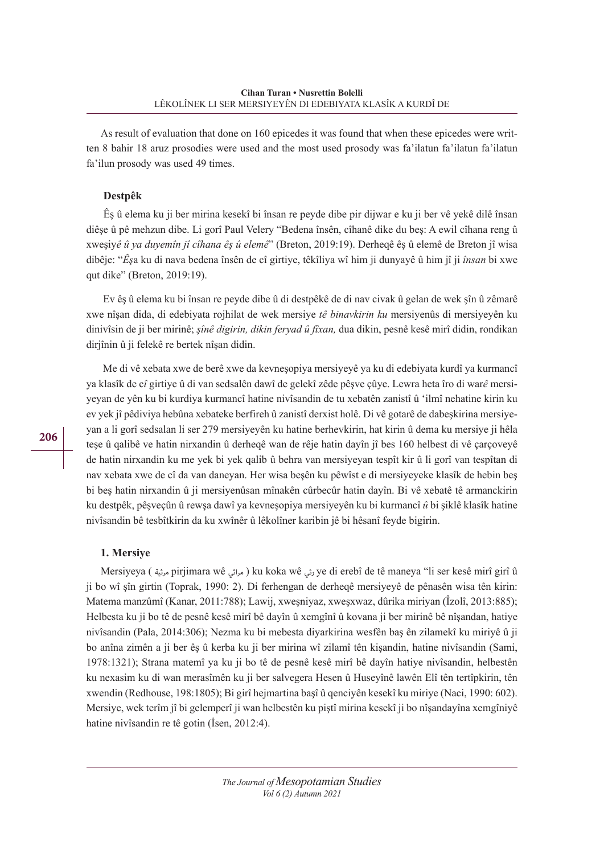As result of evaluation that done on 160 epicedes it was found that when these epicedes were written 8 bahir 18 aruz prosodies were used and the most used prosody was fa'ilatun fa'ilatun fa'ilatun fa'ilun prosody was used 49 times.

## **Destpêk**

 Êş û elema ku ji ber mirina kesekî bi însan re peyde dibe pir dijwar e ku ji ber vê yekê dilê însan diêşe û pê mehzun dibe. Li gorî Paul Velery "Bedena însên, cîhanê dike du beş: A ewil cîhana reng û xweşiy*ê û ya duyemîn jî cîhana êş û elemê*" (Breton, 2019:19). Derheqê êş û elemê de Breton jî wisa dibêje: "*Êş*a ku di nava bedena însên de cî girtiye, têkîliya wî him ji dunyayê û him jî ji *însan* bi xwe qut dike" (Breton, 2019:19).

 Ev êş û elema ku bi însan re peyde dibe û di destpêkê de di nav civak û gelan de wek şîn û zêmarê xwe nîşan dida, di edebiyata rojhilat de wek mersiye *tê binavkirin ku* mersiyenûs di mersiyeyên ku dinivîsin de ji ber mirinê; *şînê digirin, dikin feryad û fîxan,* dua dikin, pesnê kesê mirî didin, rondikan dirjînin û ji felekê re bertek nîşan didin.

 Me di vê xebata xwe de berê xwe da kevneşopiya mersiyeyê ya ku di edebiyata kurdî ya kurmancî ya klasîk de c*î* girtiye û di van sedsalên dawî de gelekî zêde pêşve çûye. Lewra heta îro di war*ê* mersiyeyan de yên ku bi kurdiya kurmancî hatine nivîsandin de tu xebatên zanistî û 'ilmî nehatine kirin ku ev yek jî pêdiviya hebûna xebateke berfireh û zanistî derxist holê. Di vê gotarê de dabeşkirina mersiyeyan a li gorî sedsalan li ser 279 mersiyeyên ku hatine berhevkirin, hat kirin û dema ku mersiye ji hêla teşe û qalibê ve hatin nirxandin û derheqê wan de rêje hatin dayîn jî bes 160 helbest di vê çarçoveyê de hatin nirxandin ku me yek bi yek qalib û behra van mersiyeyan tespît kir û li gorî van tespîtan di nav xebata xwe de cî da van daneyan. Her wisa beşên ku pêwîst e di mersiyeyeke klasîk de hebin beş bi beş hatin nirxandin û ji mersiyenûsan mînakên cûrbecûr hatin dayîn. Bi vê xebatê tê armanckirin ku destpêk, pêşveçûn û rewşa dawî ya kevneşopiya mersiyeyên ku bi kurmancî *û* bi şiklê klasîk hatine nivîsandin bê tesbîtkirin da ku xwînêr û lêkolîner karibin jê bi hêsanî feyde bigirin.

## **1. Mersiye**

Mersiyeya ( مرثية pirjimara wê مراثي ( ku koka wê رثي ye di erebî de tê maneya "li ser kesê mirî girî û ji bo wî şîn girtin (Toprak, 1990: 2). Di ferhengan de derheqê mersiyeyê de pênasên wisa tên kirin: Matema manzûmî (Kanar, 2011:788); Lawij, xweşniyaz, xweşxwaz, dûrika miriyan (Îzolî, 2013:885); Helbesta ku ji bo tê de pesnê kesê mirî bê dayîn û xemgînî û kovana ji ber mirinê bê nîşandan, hatiye nivîsandin (Pala, 2014:306); Nezma ku bi mebesta diyarkirina wesfên baş ên zilamekî ku miriyê û ji bo anîna zimên a ji ber êş û kerba ku ji ber mirina wî zilamî tên kişandin, hatine nivîsandin (Sami, 1978:1321); Strana matemî ya ku ji bo tê de pesnê kesê mirî bê dayîn hatiye nivîsandin, helbestên ku nexasim ku di wan merasîmên ku ji ber salvegera Hesen û Huseyînê lawên Elî tên tertîpkirin, tên xwendin (Redhouse, 198:1805); Bi girî hejmartina başî û qenciyên kesekî ku miriye (Naci, 1990: 602). Mersiye, wek terîm jî bi gelemperî ji wan helbestên ku piştî mirina kesekî ji bo nîşandayîna xemgîniyê hatine nivîsandin re tê gotin (İsen, 2012:4).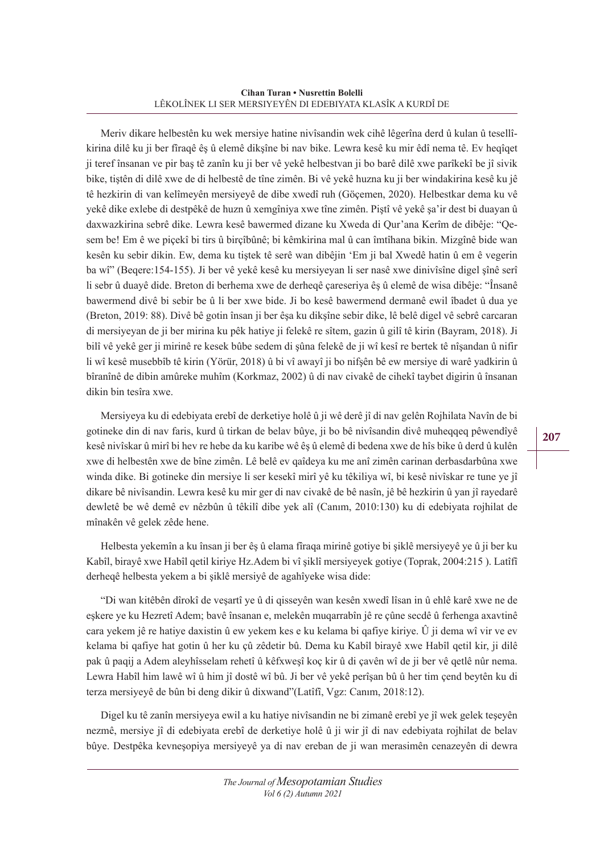#### **Cihan Turan • Nusrettin Bolelli** LÊKOLÎNEK LI SER MERSIYEYÊN DI EDEBIYATA KLASÎK A KURDÎ DE

Meriv dikare helbestên ku wek mersiye hatine nivîsandin wek cihê lêgerîna derd û kulan û tesellîkirina dilê ku ji ber fîraqê êş û elemê dikşîne bi nav bike. Lewra kesê ku mir êdî nema tê. Ev heqîqet ji teref însanan ve pir baş tê zanîn ku ji ber vê yekê helbestvan ji bo barê dilê xwe parîkekî be jî sivik bike, tiştên di dilê xwe de di helbestê de tîne zimên. Bi vê yekê huzna ku ji ber windakirina kesê ku jê tê hezkirin di van kelîmeyên mersiyeyê de dibe xwedî ruh (Göçemen, 2020). Helbestkar dema ku vê yekê dike exlebe di destpêkê de huzn û xemgîniya xwe tîne zimên. Piştî vê yekê şa'ir dest bi duayan û daxwazkirina sebrê dike. Lewra kesê bawermed dizane ku Xweda di Qur'ana Kerîm de dibêje: "Qesem be! Em ê we piçekî bi tirs û birçîbûnê; bi kêmkirina mal û can îmtîhana bikin. Mizgînê bide wan kesên ku sebir dikin. Ew, dema ku tiştek tê serê wan dibêjin 'Em ji bal Xwedê hatin û em ê vegerin ba wî" (Beqere:154-155). Ji ber vê yekê kesê ku mersiyeyan li ser nasê xwe dinivîsîne digel şînê serî li sebr û duayê dide. Breton di berhema xwe de derheqê çareseriya êş û elemê de wisa dibêje: "Însanê bawermend divê bi sebir be û li ber xwe bide. Ji bo kesê bawermend dermanê ewil îbadet û dua ye (Breton, 2019: 88). Divê bê gotin însan ji ber êşa ku dikşîne sebir dike, lê belê digel vê sebrê carcaran di mersiyeyan de ji ber mirina ku pêk hatiye ji felekê re sîtem, gazin û gilî tê kirin (Bayram, 2018). Ji bilî vê yekê ger ji mirinê re kesek bûbe sedem di şûna felekê de ji wî kesî re bertek tê nîşandan û nifir li wî kesê musebbîb tê kirin (Yörür, 2018) û bi vî awayî ji bo nifşên bê ew mersiye di warê yadkirin û bîranînê de dibin amûreke muhîm (Korkmaz, 2002) û di nav civakê de cihekî taybet digirin û însanan dikin bin tesîra xwe.

Mersiyeya ku di edebiyata erebî de derketiye holê û ji wê derê jî di nav gelên Rojhilata Navîn de bi gotineke din di nav faris, kurd û tirkan de belav bûye, ji bo bê nivîsandin divê muheqqeq pêwendîyê kesê nivîskar û mirî bi hev re hebe da ku karibe wê êş û elemê di bedena xwe de hîs bike û derd û kulên xwe di helbestên xwe de bîne zimên. Lê belê ev qaîdeya ku me anî zimên carinan derbasdarbûna xwe winda dike. Bi gotineke din mersiye li ser kesekî mirî yê ku têkiliya wî, bi kesê nivîskar re tune ye jî dikare bê nivîsandin. Lewra kesê ku mir ger di nav civakê de bê nasîn, jê bê hezkirin û yan jî rayedarê dewletê be wê demê ev nêzbûn û têkilî dibe yek alî (Canım, 2010:130) ku di edebiyata rojhilat de mînakên vê gelek zêde hene.

Helbesta yekemîn a ku însan ji ber êş û elama fîraqa mirinê gotiye bi şiklê mersiyeyê ye û ji ber ku Kabîl, birayê xwe Habîl qetil kiriye Hz.Adem bi vî şiklî mersiyeyek gotiye (Toprak, 2004:215 ). Latîfî derheqê helbesta yekem a bi şiklê mersiyê de agahîyeke wisa dide:

"Di wan kitêbên dîrokî de veşartî ye û di qisseyên wan kesên xwedî lîsan in û ehlê karê xwe ne de eşkere ye ku Hezretî Adem; bavê însanan e, melekên muqarrabîn jê re çûne secdê û ferhenga axavtinê cara yekem jê re hatiye daxistin û ew yekem kes e ku kelama bi qafiye kiriye. Û ji dema wî vir ve ev kelama bi qafiye hat gotin û her ku çû zêdetir bû. Dema ku Kabîl birayê xwe Habîl qetil kir, ji dilê pak û paqij a Adem aleyhîsselam rehetî û kêfxweşî koç kir û di çavên wî de ji ber vê qetlê nûr nema. Lewra Habîl him lawê wî û him jî dostê wî bû. Ji ber vê yekê perîşan bû û her tim çend beytên ku di terza mersiyeyê de bûn bi deng dikir û dixwand"(Latîfî, Vgz: Canım, 2018:12).

Digel ku tê zanîn mersiyeya ewil a ku hatiye nivîsandin ne bi zimanê erebî ye jî wek gelek teşeyên nezmê, mersiye jî di edebiyata erebî de derketiye holê û ji wir jî di nav edebiyata rojhilat de belav bûye. Destpêka kevneşopiya mersiyeyê ya di nav ereban de ji wan merasimên cenazeyên di dewra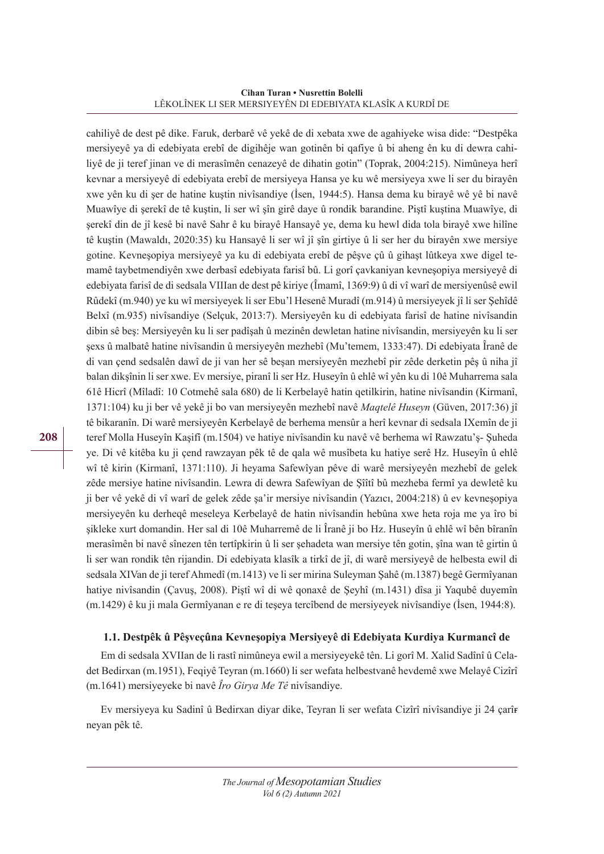#### **Cihan Turan • Nusrettin Bolelli** LÊKOLÎNEK LI SER MERSIYEYÊN DI EDEBIYATA KLASÎK A KURDÎ DE

cahiliyê de dest pê dike. Faruk, derbarê vê yekê de di xebata xwe de agahiyeke wisa dide: "Destpêka mersiyeyê ya di edebiyata erebî de digihêje wan gotinên bi qafiye û bi aheng ên ku di dewra cahiliyê de ji teref jinan ve di merasîmên cenazeyê de dihatin gotin" (Toprak, 2004:215). Nimûneya herî kevnar a mersiyeyê di edebiyata erebî de mersiyeya Hansa ye ku wê mersiyeya xwe li ser du birayên xwe yên ku di şer de hatine kuştin nivîsandiye (İsen, 1944:5). Hansa dema ku birayê wê yê bi navê Muawîye di şerekî de tê kuştin, li ser wî şîn girê daye û rondik barandine. Piştî kuştina Muawîye, di şerekî din de jî kesê bi navê Sahr ê ku birayê Hansayê ye, dema ku hewl dida tola birayê xwe hilîne tê kuştin (Mawaldı, 2020:35) ku Hansayê li ser wî jî şîn girtiye û li ser her du birayên xwe mersiye gotine. Kevneşopiya mersiyeyê ya ku di edebiyata erebî de pêşve çû û gihaşt lûtkeya xwe digel temamê taybetmendiyên xwe derbasî edebiyata farisî bû. Li gorî çavkaniyan kevneşopiya mersiyeyê di edebiyata farisî de di sedsala VIIIan de dest pê kiriye (Îmamî, 1369:9) û di vî warî de mersiyenûsê ewil Rûdekî (m.940) ye ku wî mersiyeyek li ser Ebu'l Hesenê Muradî (m.914) û mersiyeyek jî li ser Şehîdê Belxî (m.935) nivîsandiye (Selçuk, 2013:7). Mersiyeyên ku di edebiyata farisî de hatine nivîsandin dibin sê beş: Mersiyeyên ku li ser padîşah û mezinên dewletan hatine nivîsandin, mersiyeyên ku li ser şexs û malbatê hatine nivîsandin û mersiyeyên mezhebî (Mu'temem, 1333:47). Di edebiyata Îranê de di van çend sedsalên dawî de ji van her sê beşan mersiyeyên mezhebî pir zêde derketin pêş û niha jî balan dikşînin li ser xwe. Ev mersiye, piranî li ser Hz. Huseyîn û ehlê wî yên ku di 10ê Muharrema sala 61ê Hicrî (Mîladî: 10 Cotmehê sala 680) de li Kerbelayê hatin qetilkirin, hatine nivîsandin (Kirmanî, 1371:104) ku ji ber vê yekê ji bo van mersiyeyên mezhebî navê *Maqtelê Huseyn* (Güven, 2017:36) jî tê bikaranîn. Di warê mersiyeyên Kerbelayê de berhema mensûr a herî kevnar di sedsala IXemîn de ji teref Molla Huseyîn Kaşifî (m.1504) ve hatiye nivîsandin ku navê vê berhema wî Rawzatu'ş- Şuheda ye. Di vê kitêba ku ji çend rawzayan pêk tê de qala wê musîbeta ku hatiye serê Hz. Huseyîn û ehlê wî tê kirin (Kirmanî, 1371:110). Ji heyama Safewîyan pêve di warê mersiyeyên mezhebî de gelek zêde mersiye hatine nivîsandin. Lewra di dewra Safewîyan de Şîîtî bû mezheba fermî ya dewletê ku ji ber vê yekê di vî warî de gelek zêde şa'ir mersiye nivîsandin (Yazıcı, 2004:218) û ev kevneşopiya mersiyeyên ku derheqê meseleya Kerbelayê de hatin nivîsandin hebûna xwe heta roja me ya îro bi şikleke xurt domandin. Her sal di 10ê Muharremê de li Îranê ji bo Hz. Huseyîn û ehlê wî bên bîranîn merasîmên bi navê sînezen tên tertîpkirin û li ser şehadeta wan mersiye tên gotin, şîna wan tê girtin û li ser wan rondik tên rijandin. Di edebiyata klasîk a tirkî de jî, di warê mersiyeyê de helbesta ewil di sedsala XIVan de ji teref Ahmedî (m.1413) ve li ser mirina Suleyman Şahê (m.1387) begê Germîyanan hatiye nivîsandin (Çavuş, 2008). Piştî wî di wê qonaxê de Şeyhî (m.1431) dîsa ji Yaqubê duyemîn (m.1429) ê ku ji mala Germîyanan e re di teşeya tercîbend de mersiyeyek nivîsandiye (İsen, 1944:8).

## **1.1. Destpêk û Pêşveçûna Kevneşopiya Mersiyeyê di Edebiyata Kurdiya Kurmancî de**

Em di sedsala XVIIan de li rastî nimûneya ewil a mersiyeyekê tên. Li gorî M. Xalid Sadînî û Celadet Bedirxan (m.1951), Feqiyê Teyran (m.1660) li ser wefata helbestvanê hevdemê xwe Melayê Cizîrî (m.1641) mersiyeyeke bi navê *Îro Girya Me Tê* nivîsandiye.

Ev mersiyeya ku Sadinî û Bedirxan diyar dike, Teyran li ser wefata Cizîrî nivîsandiye ji 24 çarîneyan pêk tê.

*The Journal of Mesopotamian Studies Vol 6 (2) Autumn 2021*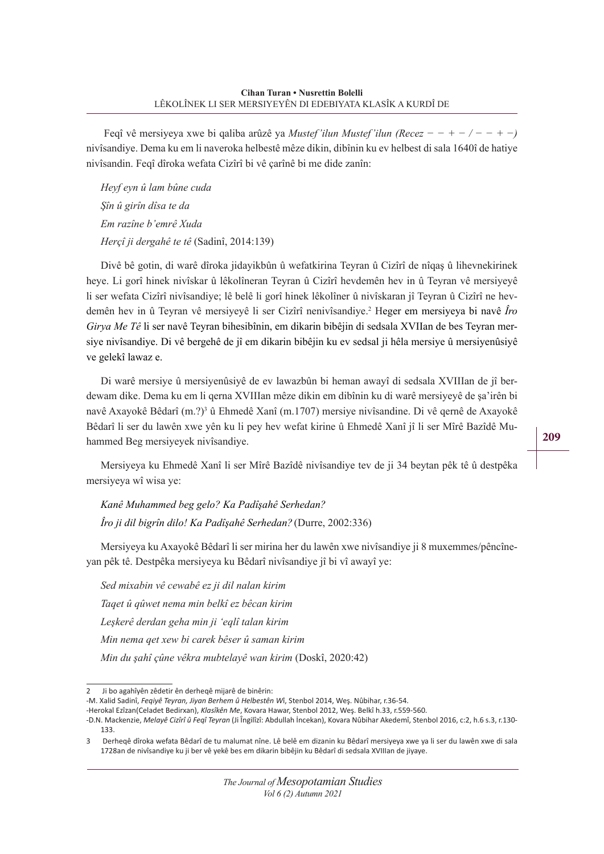Feqî vê mersiyeya xwe bi qaliba arûzê ya *Mustef'ilun Mustef'ilun (Recez − − + − / − − + −)*  nivîsandiye. Dema ku em li naveroka helbestê mêze dikin, dibînin ku ev helbest di sala 1640î de hatiye nivîsandin. Feqî dîroka wefata Cizîrî bi vê çarînê bi me dide zanîn:

*Heyf eyn û lam bûne cuda Şîn û girîn dîsa te da Em razîne b'emrê Xuda Herçî ji dergahê te tê* (Sadinî, 2014:139)

Divê bê gotin, di warê dîroka jidayikbûn û wefatkirina Teyran û Cizîrî de nîqaş û lihevnekirinek heye. Li gorî hinek nivîskar û lêkolîneran Teyran û Cizîrî hevdemên hev in û Teyran vê mersiyeyê li ser wefata Cizîrî nivîsandiye; lê belê li gorî hinek lêkolîner û nivîskaran jî Teyran û Cizîrî ne hevdemên hev in û Teyran vê mersiyeyê li ser Cizîrî nenivîsandiye.2 Heger em mersiyeya bi navê *Îro Girya Me Tê* li ser navê Teyran bihesibînin, em dikarin bibêjin di sedsala XVIIan de bes Teyran mersiye nivîsandiye. Di vê bergehê de jî em dikarin bibêjin ku ev sedsal ji hêla mersiye û mersiyenûsiyê ve gelekî lawaz e.

Di warê mersiye û mersiyenûsiyê de ev lawazbûn bi heman awayî di sedsala XVIIIan de jî berdewam dike. Dema ku em li qerna XVIIIan mêze dikin em dibînin ku di warê mersiyeyê de şa'irên bi navê Axayokê Bêdarî (m.?)<sup>3</sup> û Ehmedê Xanî (m.1707) mersiye nivîsandine. Di vê qernê de Axayokê Bêdarî li ser du lawên xwe yên ku li pey hev wefat kirine û Ehmedê Xanî jî li ser Mîrê Bazîdê Muhammed Beg mersiyeyek nivîsandiye.

Mersiyeya ku Ehmedê Xanî li ser Mîrê Bazîdê nivîsandiye tev de ji 34 beytan pêk tê û destpêka mersiyeya wî wisa ye:

*Kanê Muhammed beg gelo? Ka Padîşahê Serhedan? Îro ji dil bigrîn dilo! Ka Padîşahê Serhedan?* (Durre, 2002:336)

Mersiyeya ku Axayokê Bêdarî li ser mirina her du lawên xwe nivîsandiye ji 8 muxemmes/pêncîneyan pêk tê. Destpêka mersiyeya ku Bêdarî nivîsandiye jî bi vî awayî ye:

*Sed mixabin vê cewabê ez ji dil nalan kirim Taqet û qûwet nema min belkî ez bêcan kirim Leşkerê derdan geha min ji 'eqlî talan kirim Min nema qet xew bi carek bêser û saman kirim Min du şahî çûne vêkra mubtelayê wan kirim* (Doskî, 2020:42)

-M. Xalid Sadinî, *Feqiyê Teyran, Jiyan Berhem û Helbestên W*î, Stenbol 2014, Weş. Nûbihar, r.36-54.

-Herokal Ezîzan(Celadet Bedirxan), *Klasîkên Me*, Kovara Hawar, Stenbol 2012, Weş. Belkî h.33, r.559-560.

Ji bo agahîyên zêdetir ên derheqê mijarê de binêrin:

<sup>-</sup>D.N. Mackenzie, *Melayê Cizîrî û Feqî Teyran* (Ji Îngilîzî: Abdullah İncekan), Kovara Nûbihar Akedemî, Stenbol 2016, c:2, h.6 s.3, r.130- 133.

<sup>3</sup> Derheqê dîroka wefata Bêdarî de tu malumat nîne. Lê belê em dizanin ku Bêdarî mersiyeya xwe ya li ser du lawên xwe di sala 1728an de nivîsandiye ku ji ber vê yekê bes em dikarin bibêjin ku Bêdarî di sedsala XVIIIan de jiyaye.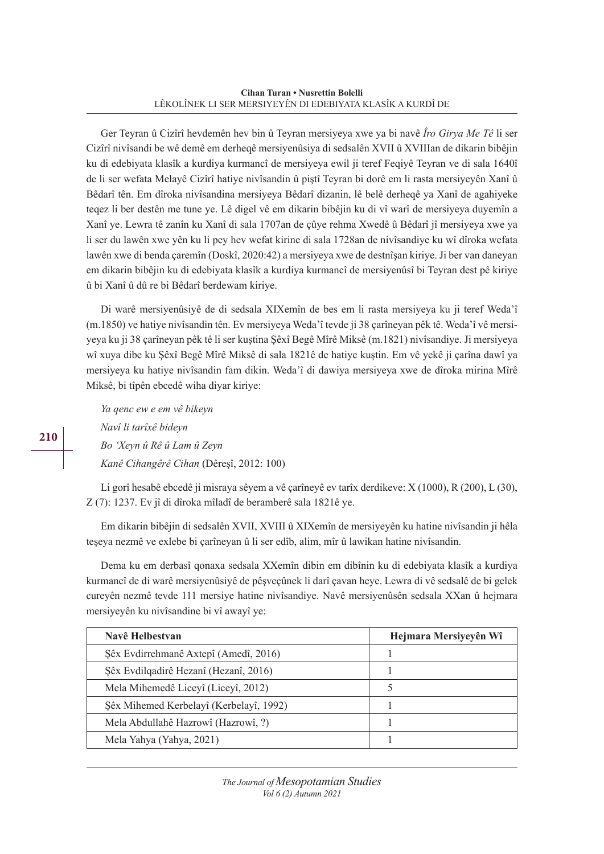Ger Teyran û Cizîrî hevdemên hev bin û Teyran mersiyeya xwe ya bi navê *Îro Girya Me Tê* li ser Cizîrî nivîsandi be wê demê em derheqê mersiyenûsiya di sedsalên XVII û XVIIIan de dikarin bibêjin ku di edebiyata klasîk a kurdiya kurmancî de mersiyeya ewil ji teref Feqiyê Teyran ve di sala 1640î de li ser wefata Melayê Cizîrî hatiye nivîsandin û piştî Teyran bi dorê em li rasta mersiyeyên Xanî û Bêdarî tên. Em dîroka nivîsandina mersiyeya Bêdarî dizanin, lê belê derheqê ya Xanî de agahiyeke teqez li ber destên me tune ye. Lê digel vê em dikarin bibêjin ku di vî warî de mersiyeya duyemîn a Xanî ye. Lewra tê zanîn ku Xanî di sala 1707an de çûye rehma Xwedê û Bêdarî jî mersiyeya xwe ya li ser du lawên xwe yên ku li pey hev wefat kirine di sala 1728an de nivîsandiye ku wî dîroka wefata lawên xwe di benda çaremîn (Doskî, 2020:42) a mersiyeya xwe de destnîşan kiriye. Ji ber van daneyan em dikarin bibêjin ku di edebiyata klasîk a kurdiya kurmancî de mersiyenûsî bi Teyran dest pê kiriye û bi Xanî û dû re bi Bêdarî berdewam kiriye.

Di warê mersiyenûsiyê de di sedsala XIXemîn de bes em li rasta mersiyeya ku ji teref Weda'î (m.1850) ve hatiye nivîsandin tên. Ev mersiyeya Weda'î tevde ji 38 çarîneyan pêk tê. Weda'î vê mersiyeya ku ji 38 çarîneyan pêk tê li ser kuştina Şêxî Begê Mîrê Miksê (m.1821) nivîsandiye. Ji mersiyeya wî xuya dibe ku Şêxî Begê Mîrê Miksê di sala 1821ê de hatiye kuştin. Em vê yekê ji çarîna dawî ya mersiyeya ku hatiye nivîsandin fam dikin. Weda'î di dawiya mersiyeya xwe de dîroka mirina Mîrê Miksê, bi tîpên ebcedê wiha diyar kiriye:

*Ya qenc ew e em vê bikeyn Navî li tarîxê bideyn Bo 'Xeyn û Rê û Lam û Zeyn Kanê Cihangêrê Cihan* (Dêreşî, 2012: 100)

Li gorî hesabê ebcedê ji misraya sêyem a vê çarîneyê ev tarîx derdikeve: X (1000), R (200), L (30), Z (7): 1237. Ev jî di dîroka mîladî de beramberê sala 1821ê ye.

Em dikarin bibêjin di sedsalên XVII, XVIII û XIXemîn de mersiyeyên ku hatine nivîsandin ji hêla teşeya nezmê ve exlebe bi çarîneyan û li ser edîb, alim, mîr û lawikan hatine nivîsandin.

Dema ku em derbasî qonaxa sedsala XXemîn dibin em dibînin ku di edebiyata klasîk a kurdiya kurmancî de di warê mersiyenûsiyê de pêşveçûnek li darî çavan heye. Lewra di vê sedsalê de bi gelek cureyên nezmê tevde 111 mersiye hatine nivîsandiye. Navê mersiyenûsên sedsala XXan û hejmara mersiyeyên ku nivîsandine bi vî awayî ye:

| Navê Helbestvan                         | Hejmara Mersiyeyên Wî |
|-----------------------------------------|-----------------------|
| Şêx Evdirrehmanê Axtepî (Amedî, 2016)   |                       |
| Şêx Evdilqadirê Hezanî (Hezanî, 2016)   |                       |
| Mela Mihemedê Liceyî (Liceyî, 2012)     | 5                     |
| Şêx Mihemed Kerbelayî (Kerbelayî, 1992) |                       |
| Mela Abdullahê Hazrowî (Hazrowî, ?)     |                       |
| Mela Yahya (Yahya, 2021)                |                       |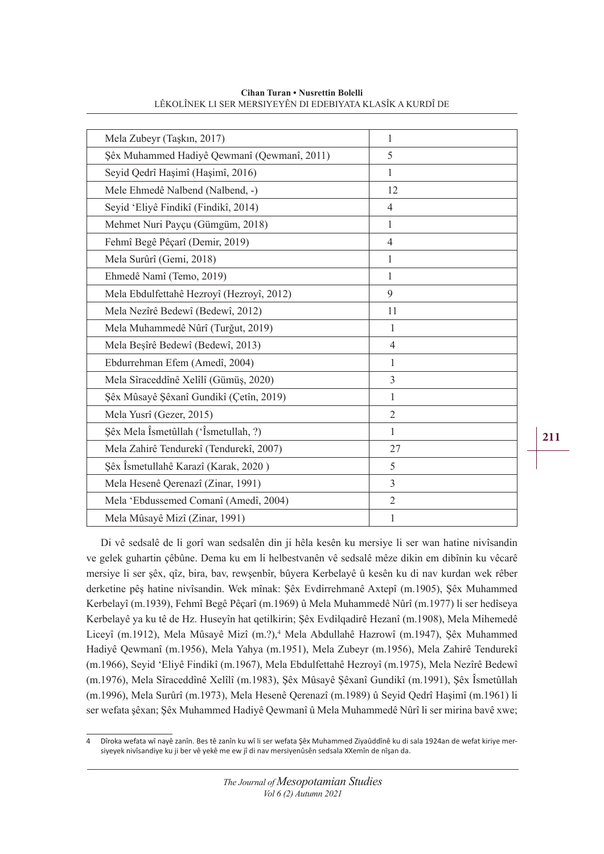| Mela Zubeyr (Taşkın, 2017)                  | $\mathbf{1}$   |
|---------------------------------------------|----------------|
| Şêx Muhammed Hadiyê Qewmanî (Qewmanî, 2011) | 5              |
| Seyid Qedrî Haşimî (Haşimî, 2016)           | $\mathbf{1}$   |
| Mele Ehmedê Nalbend (Nalbend, -)            | 12             |
| Seyid 'Eliyê Findikî (Findikî, 2014)        | $\overline{4}$ |
| Mehmet Nuri Payçu (Gümgüm, 2018)            | $\mathbf{1}$   |
| Fehmî Begê Pêçarî (Demir, 2019)             | $\overline{4}$ |
| Mela Surûrî (Gemi, 2018)                    | $\mathbf{1}$   |
| Ehmedê Namî (Temo, 2019)                    | $\mathbf{1}$   |
| Mela Ebdulfettahê Hezroyî (Hezroyî, 2012)   | 9              |
| Mela Nezîrê Bedewî (Bedewî, 2012)           | 11             |
| Mela Muhammedê Nûrî (Turğut, 2019)          | $\mathbf{1}$   |
| Mela Beşîrê Bedewî (Bedewî, 2013)           | $\overline{4}$ |
| Ebdurrehman Efem (Amedî, 2004)              | 1              |
| Mela Sîraceddînê Xelîlî (Gümüş, 2020)       | 3              |
| Şêx Mûsayê Şêxanî Gundikî (Çetîn, 2019)     | 1              |
| Mela Yusrî (Gezer, 2015)                    | $\overline{2}$ |
| Şêx Mela Îsmetûllah ('Îsmetullah, ?)        | 1              |
| Mela Zahirê Tendurekî (Tendurekî, 2007)     | 27             |
| Şêx Îsmetullahê Karazî (Karak, 2020)        | 5              |
| Mela Hesenê Qerenazî (Zinar, 1991)          | 3              |
| Mela 'Ebdussemed Comanî (Amedî, 2004)       | $\overline{2}$ |
| Mela Mûsayê Mizî (Zinar, 1991)              | 1              |
|                                             |                |

**Cihan Turan • Nusrettin Bolelli** LÊKOLÎNEK LI SER MERSIYEYÊN DI EDEBIYATA KLASÎK A KURDÎ DE

Di vê sedsalê de li gorî wan sedsalên din ji hêla kesên ku mersiye li ser wan hatine nivîsandin ve gelek guhartin çêbûne. Dema ku em li helbestvanên vê sedsalê mêze dikin em dibînin ku vêcarê mersiye li ser şêx, qîz, bira, bav, rewşenbîr, bûyera Kerbelayê û kesên ku di nav kurdan wek rêber derketine pêş hatine nivîsandin. Wek mînak: Şêx Evdirrehmanê Axtepî (m.1905), Şêx Muhammed Kerbelayî (m.1939), Fehmî Begê Pêçarî (m.1969) û Mela Muhammedê Nûrî (m.1977) li ser hedîseya Kerbelayê ya ku tê de Hz. Huseyîn hat qetilkirin; Şêx Evdilqadirê Hezanî (m.1908), Mela Mihemedê Liceyî (m.1912), Mela Mûsayê Mizî (m.?),<sup>4</sup> Mela Abdullahê Hazrowî (m.1947), Şêx Muhammed Hadiyê Qewmanî (m.1956), Mela Yahya (m.1951), Mela Zubeyr (m.1956), Mela Zahirê Tendurekî (m.1966), Seyid 'Eliyê Findikî (m.1967), Mela Ebdulfettahê Hezroyî (m.1975), Mela Nezîrê Bedewî (m.1976), Mela Sîraceddînê Xelîlî (m.1983), Şêx Mûsayê Şêxanî Gundikî (m.1991), Şêx Îsmetûllah (m.1996), Mela Surûrî (m.1973), Mela Hesenê Qerenazî (m.1989) û Seyid Qedrî Haşimî (m.1961) li ser wefata şêxan; Şêx Muhammed Hadiyê Qewmanî û Mela Muhammedê Nûrî li ser mirina bavê xwe;

<sup>4</sup> Dîroka wefata wî nayê zanîn. Bes tê zanîn ku wî li ser wefata Şêx Muhammed Ziyaûddînê ku di sala 1924an de wefat kiriye mersiyeyek nivîsandiye ku ji ber vê yekê me ew jî di nav mersiyenûsên sedsala XXemîn de nîşan da.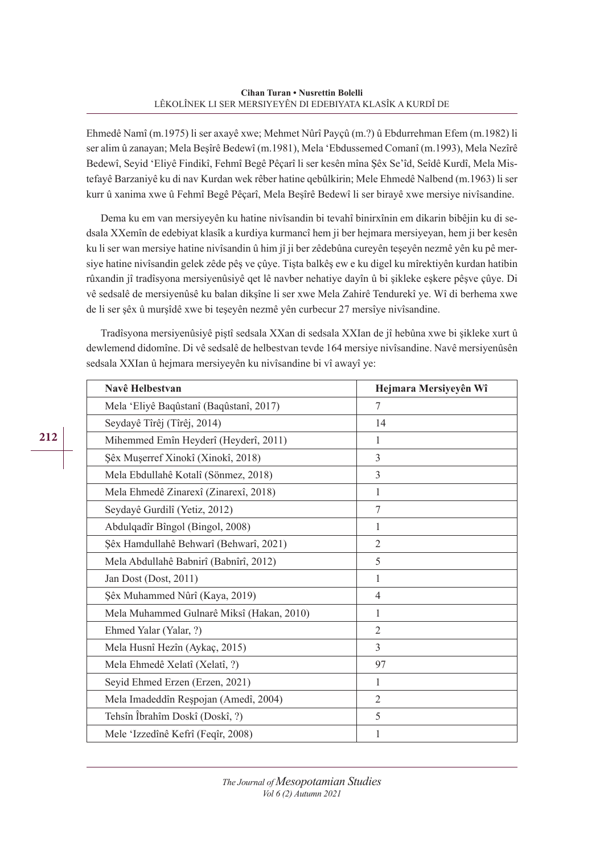Ehmedê Namî (m.1975) li ser axayê xwe; Mehmet Nûrî Payçû (m.?) û Ebdurrehman Efem (m.1982) li ser alim û zanayan; Mela Beşîrê Bedewî (m.1981), Mela 'Ebdussemed Comanî (m.1993), Mela Nezîrê Bedewî, Seyid 'Eliyê Findikî, Fehmî Begê Pêçarî li ser kesên mîna Şêx Se'îd, Seîdê Kurdî, Mela Mistefayê Barzaniyê ku di nav Kurdan wek rêber hatine qebûlkirin; Mele Ehmedê Nalbend (m.1963) li ser kurr û xanima xwe û Fehmî Begê Pêçarî, Mela Beşîrê Bedewî li ser birayê xwe mersiye nivîsandine.

Dema ku em van mersiyeyên ku hatine nivîsandin bi tevahî binirxînin em dikarin bibêjin ku di sedsala XXemîn de edebiyat klasîk a kurdiya kurmancî hem ji ber hejmara mersiyeyan, hem ji ber kesên ku li ser wan mersiye hatine nivîsandin û him jî ji ber zêdebûna cureyên teşeyên nezmê yên ku pê mersiye hatine nivîsandin gelek zêde pêş ve çûye. Tişta balkêş ew e ku digel ku mîrektiyên kurdan hatibin rûxandin jî tradîsyona mersiyenûsiyê qet lê navber nehatiye dayîn û bi şikleke eşkere pêşve çûye. Di vê sedsalê de mersiyenûsê ku balan dikşîne li ser xwe Mela Zahirê Tendurekî ye. Wî di berhema xwe de li ser şêx û murşîdê xwe bi teşeyên nezmê yên curbecur 27 mersîye nivîsandine.

Tradîsyona mersiyenûsiyê piştî sedsala XXan di sedsala XXIan de jî hebûna xwe bi şikleke xurt û dewlemend didomîne. Di vê sedsalê de helbestvan tevde 164 mersiye nivîsandine. Navê mersiyenûsên sedsala XXIan û hejmara mersiyeyên ku nivîsandine bi vî awayî ye:

| Navê Helbestvan                           | Hejmara Mersiyeyên Wî |
|-------------------------------------------|-----------------------|
| Mela 'Eliyê Baqûstanî (Baqûstanî, 2017)   | 7                     |
| Seydayê Tîrêj (Tîrêj, 2014)               | 14                    |
| Mihemmed Emîn Heyderî (Heyderî, 2011)     | 1                     |
| Şêx Muşerref Xinokî (Xinokî, 2018)        | 3                     |
| Mela Ebdullahê Kotalî (Sönmez, 2018)      | 3                     |
| Mela Ehmedê Zinarexî (Zinarexî, 2018)     | 1                     |
| Seydayê Gurdilî (Yetiz, 2012)             | 7                     |
| Abdulqadîr Bîngol (Bingol, 2008)          | 1                     |
| Şêx Hamdullahê Behwarî (Behwarî, 2021)    | $\overline{2}$        |
| Mela Abdullahê Babnirî (Babnîrî, 2012)    | 5                     |
| Jan Dost (Dost, 2011)                     | 1                     |
| Şêx Muhammed Nûrî (Kaya, 2019)            | $\overline{4}$        |
| Mela Muhammed Gulnarê Miksî (Hakan, 2010) | 1                     |
| Ehmed Yalar (Yalar, ?)                    | $\overline{2}$        |
| Mela Husnî Hezîn (Aykaç, 2015)            | $\overline{3}$        |
| Mela Ehmedê Xelatî (Xelatî, ?)            | 97                    |
| Seyid Ehmed Erzen (Erzen, 2021)           | 1                     |
| Mela Imadeddîn Reșpojan (Amedî, 2004)     | $\overline{2}$        |
| Tehsîn Îbrahîm Doskî (Doskî, ?)           | 5                     |
| Mele 'Izzedînê Kefrî (Feqîr, 2008)        | 1                     |

*The Journal of Mesopotamian Studies Vol 6 (2) Autumn 2021*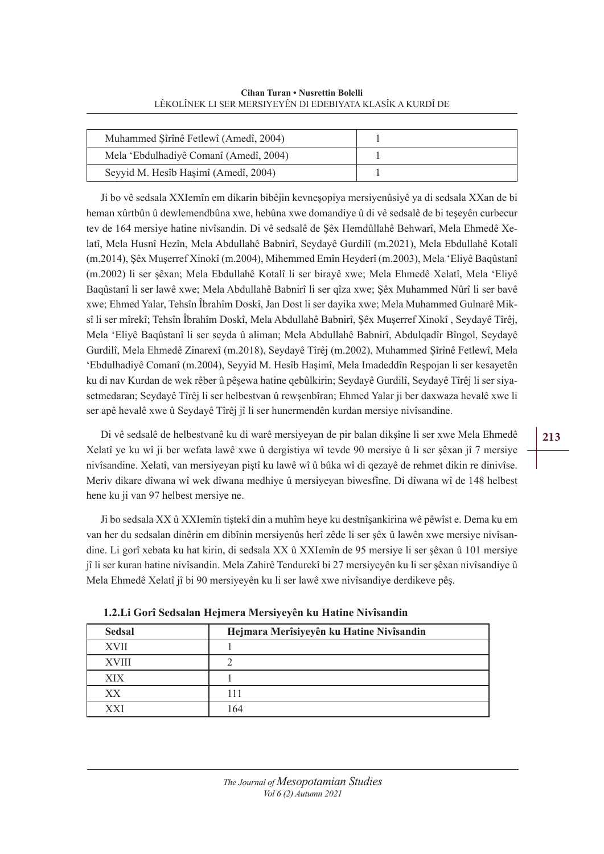**Cihan Turan • Nusrettin Bolelli** LÊKOLÎNEK LI SER MERSIYEYÊN DI EDEBIYATA KLASÎK A KURDÎ DE

| Muhammed Şîrînê Fetlewî (Amedî, 2004)  |  |
|----------------------------------------|--|
| Mela 'Ebdulhadiyê Comanî (Amedî, 2004) |  |
| Seyyid M. Hesîb Haşimî (Amedî, 2004)   |  |

Ji bo vê sedsala XXIemîn em dikarin bibêjin kevneşopiya mersiyenûsiyê ya di sedsala XXan de bi heman xûrtbûn û dewlemendbûna xwe, hebûna xwe domandiye û di vê sedsalê de bi teşeyên curbecur tev de 164 mersiye hatine nivîsandin. Di vê sedsalê de Şêx Hemdûllahê Behwarî, Mela Ehmedê Xelatî, Mela Husnî Hezîn, Mela Abdullahê Babnirî, Seydayê Gurdilî (m.2021), Mela Ebdullahê Kotalî (m.2014), Şêx Muşerref Xinokî (m.2004), Mihemmed Emîn Heyderî (m.2003), Mela 'Eliyê Baqûstanî (m.2002) li ser şêxan; Mela Ebdullahê Kotalî li ser birayê xwe; Mela Ehmedê Xelatî, Mela 'Eliyê Baqûstanî li ser lawê xwe; Mela Abdullahê Babnirî li ser qîza xwe; Şêx Muhammed Nûrî li ser bavê xwe; Ehmed Yalar, Tehsîn Îbrahîm Doskî, Jan Dost li ser dayika xwe; Mela Muhammed Gulnarê Miksî li ser mîrekî; Tehsîn Îbrahîm Doskî, Mela Abdullahê Babnirî, Şêx Muşerref Xinokî , Seydayê Tîrêj, Mela 'Eliyê Baqûstanî li ser seyda û aliman; Mela Abdullahê Babnirî, Abdulqadîr Bîngol, Seydayê Gurdilî, Mela Ehmedê Zinarexî (m.2018), Seydayê Tîrêj (m.2002), Muhammed Şîrînê Fetlewî, Mela 'Ebdulhadiyê Comanî (m.2004), Seyyid M. Hesîb Haşimî, Mela Imadeddîn Reşpojan li ser kesayetên ku di nav Kurdan de wek rêber û pêşewa hatine qebûlkirin; Seydayê Gurdilî, Seydayê Tîrêj li ser siyasetmedaran; Seydayê Tîrêj li ser helbestvan û rewşenbîran; Ehmed Yalar ji ber daxwaza hevalê xwe li ser apê hevalê xwe û Seydayê Tîrêj jî li ser hunermendên kurdan mersiye nivîsandine.

Di vê sedsalê de helbestvanê ku di warê mersiyeyan de pir balan dikşîne li ser xwe Mela Ehmedê Xelatî ye ku wî ji ber wefata lawê xwe û dergistiya wî tevde 90 mersiye û li ser şêxan jî 7 mersiye nivîsandine. Xelatî, van mersiyeyan piştî ku lawê wî û bûka wî di qezayê de rehmet dikin re dinivîse. Meriv dikare dîwana wî wek dîwana medhiye û mersiyeyan biwesfîne. Di dîwana wî de 148 helbest hene ku ji van 97 helbest mersiye ne.

Ji bo sedsala XX û XXIemîn tiştekî din a muhîm heye ku destnîşankirina wê pêwîst e. Dema ku em van her du sedsalan dinêrin em dibînin mersiyenûs herî zêde li ser şêx û lawên xwe mersiye nivîsandine. Li gorî xebata ku hat kirin, di sedsala XX û XXIemîn de 95 mersiye li ser şêxan û 101 mersiye jî li ser kuran hatine nivîsandin. Mela Zahirê Tendurekî bi 27 mersiyeyên ku li ser şêxan nivîsandiye û Mela Ehmedê Xelatî jî bi 90 mersiyeyên ku li ser lawê xwe nivîsandiye derdikeve pêş.

| <b>Sedsal</b> | Hejmara Merîsiyeyên ku Hatine Nivîsandin |
|---------------|------------------------------------------|
| <b>XVII</b>   |                                          |
| <b>XVIII</b>  |                                          |
| XIX           |                                          |
| XX            | 111                                      |
| <b>XXI</b>    | 164                                      |

**1.2.Li Gorî Sedsalan Hejmera Mersiyeyên ku Hatine Nivîsandin**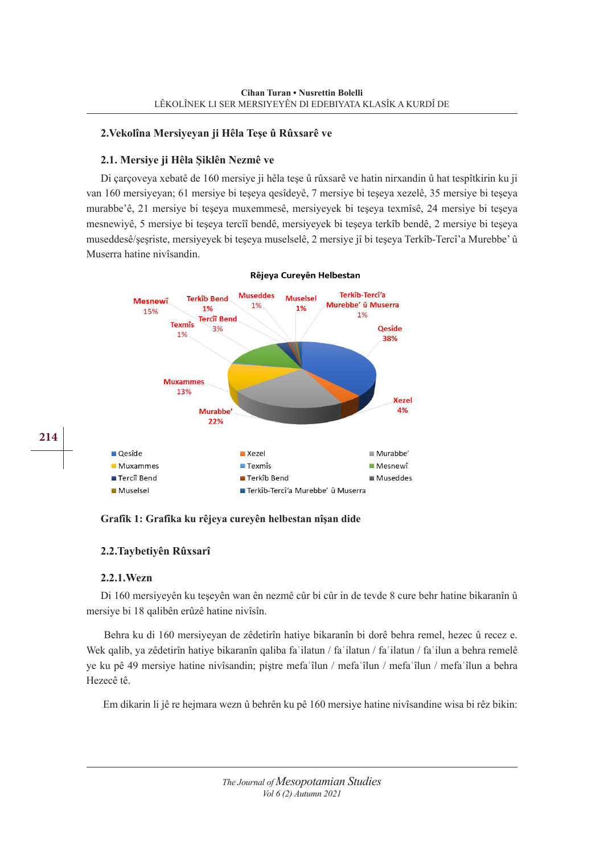# **2.Vekolîna Mersiyeyan ji Hêla Teşe û Rûxsarê ve**

## **2.1. Mersiye ji Hêla Şiklên Nezmê ve**

Di çarçoveya xebatê de 160 mersiye ji hêla teşe û rûxsarê ve hatin nirxandin û hat tespîtkirin ku ji van 160 mersiyeyan; 61 mersiye bi teşeya qesîdeyê, 7 mersiye bi teşeya xezelê, 35 mersiye bi teşeya murabbe'ê, 21 mersiye bi teşeya muxemmesê, mersiyeyek bi teşeya texmîsê, 24 mersiye bi teşeya mesnewiyê, 5 mersiye bi teşeya tercîî bendê, mersiyeyek bi teşeya terkîb bendê, 2 mersiye bi teşeya museddesê/şeşriste, mersiyeyek bi teşeya muselselê, 2 mersiye jî bi teşeya Terkîb-Tercî'a Murebbe' û Muserra hatine nivîsandin.



#### Rêjeya Cureyên Helbestan

## **Grafîk 1: Grafîka ku rêjeya cureyên helbestan nîşan dide**

## **2.2.Taybetiyên Rûxsarî**

## **2.2.1.Wezn**

**214**

Di 160 mersiyeyên ku teşeyên wan ên nezmê cûr bi cûr in de tevde 8 cure behr hatine bikaranîn û mersiye bi 18 qalibên erûzê hatine nivîsîn.

 Behra ku di 160 mersiyeyan de zêdetirîn hatiye bikaranîn bi dorê behra remel, hezec û recez e. Wek qalib, ya zêdetirîn hatiye bikaranîn qaliba fa ilatun / fa ilatun / fa ilatun / fa ilun a behra remelê ye ku pê 49 mersiye hatine nivîsandin; piştre mefaʿîlun / mefaʿîlun / mefaʿîlun / mefaʿîlun a behra Hezecê tê.

Em dikarin li jê re hejmara wezn û behrên ku pê 160 mersiye hatine nivîsandine wisa bi rêz bikin: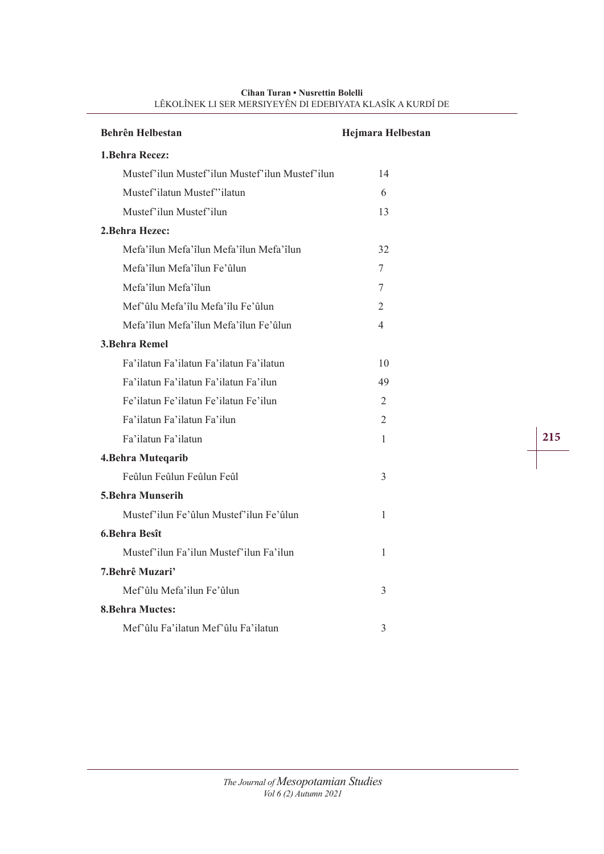| <b>Behrên Helbestan</b>                         | <b>Hejmara Helbestan</b> |  |
|-------------------------------------------------|--------------------------|--|
| 1. Behra Recez:                                 |                          |  |
| Mustef'ilun Mustef'ilun Mustef'ilun Mustef'ilun | 14                       |  |
| Mustef'ilatun Mustef''ilatun                    | 6                        |  |
| Mustef'ilun Mustef'ilun                         | 13                       |  |
| 2. Behra Hezec:                                 |                          |  |
| Mefa'îlun Mefa'îlun Mefa'îlun Mefa'îlun         | 32                       |  |
| Mefa'îlun Mefa'îlun Fe'ûlun                     | 7                        |  |
| Mefa'îlun Mefa'îlun                             | 7                        |  |
| Mef'ûlu Mefa'îlu Mefa'îlu Fe'ûlun               | 2                        |  |
| Mefa'îlun Mefa'îlun Mefa'îlun Fe'ûlun           | 4                        |  |
| <b>3. Behra Remel</b>                           |                          |  |
| Fa'ilatun Fa'ilatun Fa'ilatun Fa'ilatun         | 10                       |  |
| Fa'ilatun Fa'ilatun Fa'ilatun Fa'ilun           | 49                       |  |
| Fe'ilatun Fe'ilatun Fe'ilatun Fe'ilun           | $\mathfrak{D}$           |  |
| Fa'ilatun Fa'ilatun Fa'ilun                     | 2                        |  |
| Fa'ilatun Fa'ilatun                             | 1                        |  |
| 4. Behra Muteqarib                              |                          |  |
| Feûlun Feûlun Feûlun Feûl                       | 3                        |  |
| <b>5.Behra Munserih</b>                         |                          |  |
| Mustef'ilun Fe'ûlun Mustef'ilun Fe'ûlun         | 1                        |  |
| 6. Behra Besît                                  |                          |  |
| Mustef'ilun Fa'ilun Mustef'ilun Fa'ilun         | 1                        |  |
| 7. Behrê Muzari'                                |                          |  |
| Mef'ûlu Mefa'ilun Fe'ûlun                       | 3                        |  |
| <b>8. Behra Muctes:</b>                         |                          |  |
| Mef'ûlu Fa'ilatun Mef'ûlu Fa'ilatun             | 3                        |  |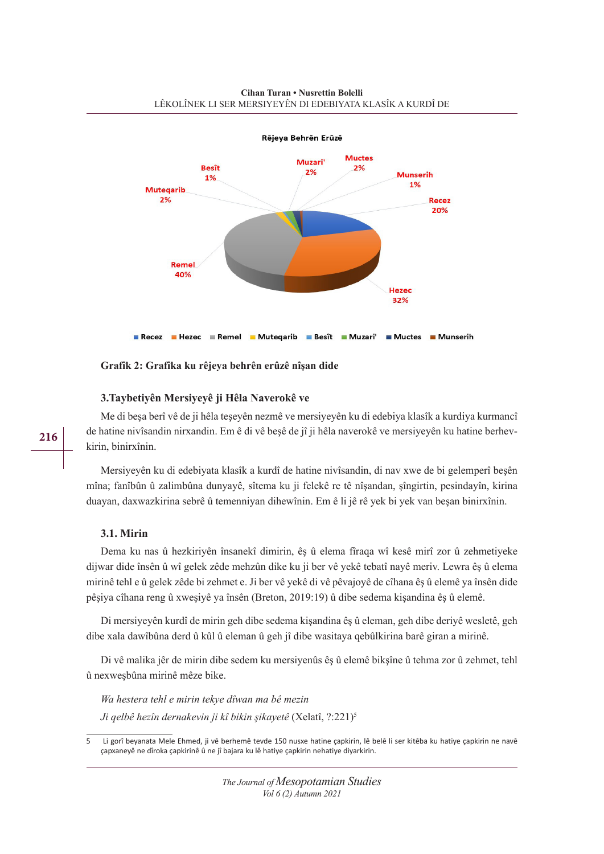

**Grafîk 2: Grafîka ku rêjeya behrên erûzê nîşan dide**

# **3.Taybetiyên Mersiyeyê ji Hêla Naverokê ve**

Me di beşa berî vê de ji hêla teşeyên nezmê ve mersiyeyên ku di edebiya klasîk a kurdiya kurmancî de hatine nivîsandin nirxandin. Em ê di vê beşê de jî ji hêla naverokê ve mersiyeyên ku hatine berhevkirin, binirxînin.

Mersiyeyên ku di edebiyata klasîk a kurdî de hatine nivîsandin, di nav xwe de bi gelemperî beşên mîna; fanîbûn û zalimbûna dunyayê, sîtema ku ji felekê re tê nîşandan, şîngirtin, pesindayîn, kirina duayan, daxwazkirina sebrê û temenniyan dihewînin. Em ê li jê rê yek bi yek van beşan binirxînin.

# **3.1. Mirin**

Dema ku nas û hezkiriyên însanekî dimirin, êş û elema fîraqa wî kesê mirî zor û zehmetiyeke dijwar dide însên û wî gelek zêde mehzûn dike ku ji ber vê yekê tebatî nayê meriv. Lewra êş û elema mirinê tehl e û gelek zêde bi zehmet e. Ji ber vê yekê di vê pêvajoyê de cîhana êş û elemê ya însên dide pêşiya cîhana reng û xweşiyê ya însên (Breton, 2019:19) û dibe sedema kişandina êş û elemê.

Di mersiyeyên kurdî de mirin geh dibe sedema kişandina êş û eleman, geh dibe deriyê wesletê, geh dibe xala dawîbûna derd û kûl û eleman û geh jî dibe wasitaya qebûlkirina barê giran a mirinê.

Di vê malika jêr de mirin dibe sedem ku mersiyenûs êş û elemê bikşîne û tehma zor û zehmet, tehl û nexweşbûna mirinê mêze bike.

*Wa hestera tehl e mirin tekye dîwan ma bê mezin Ji qelbê hezîn dernakevin ji kî bikin şikayetê* (Xelatî, ?:221)5

<sup>5</sup> Li gorî beyanata Mele Ehmed, ji vê berhemê tevde 150 nusxe hatine çapkirin, lê belê li ser kitêba ku hatiye çapkirin ne navê çapxaneyê ne dîroka çapkirinê û ne jî bajara ku lê hatiye çapkirin nehatiye diyarkirin.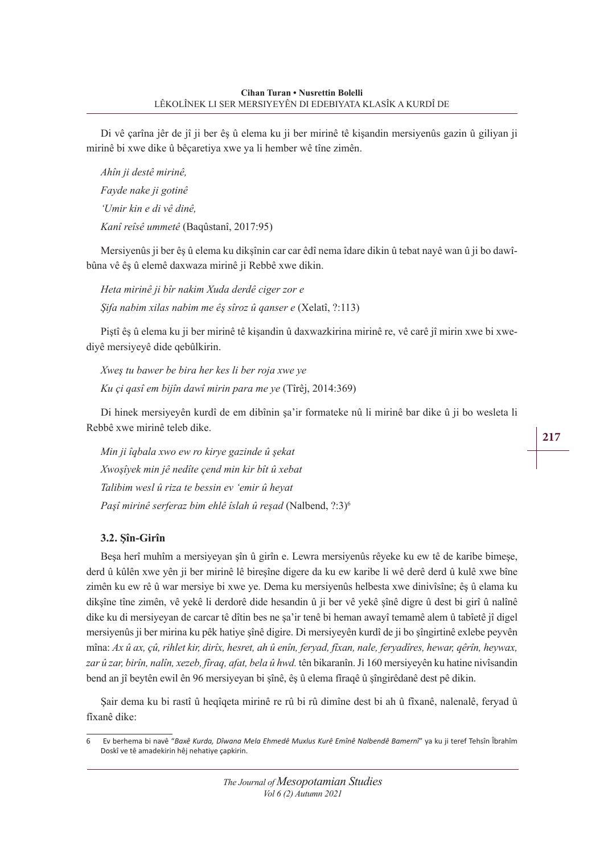Di vê çarîna jêr de jî ji ber êş û elema ku ji ber mirinê tê kişandin mersiyenûs gazin û giliyan ji mirinê bi xwe dike û bêçaretiya xwe ya li hember wê tîne zimên.

*Ahîn ji destê mirinê, Fayde nake ji gotinê 'Umir kin e di vê dinê, Kanî reîsê ummetê* (Baqûstanî, 2017:95)

Mersiyenûs ji ber êş û elema ku dikşînin car car êdî nema îdare dikin û tebat nayê wan û ji bo dawîbûna vê êş û elemê daxwaza mirinê ji Rebbê xwe dikin.

*Heta mirinê ji bîr nakim Xuda derdê ciger zor e Şifa nabim xilas nabim me êş sîroz û qanser e* (Xelatî, ?:113)

Piştî êş û elema ku ji ber mirinê tê kişandin û daxwazkirina mirinê re, vê carê jî mirin xwe bi xwediyê mersiyeyê dide qebûlkirin.

*Xweş tu bawer be bira her kes li ber roja xwe ye Ku çi qasî em bijîn dawî mirin para me ye* (Tîrêj, 2014:369)

Di hinek mersiyeyên kurdî de em dibînin şa'ir formateke nû li mirinê bar dike û ji bo wesleta li Rebbê xwe mirinê teleb dike.

*Min ji îqbala xwo ew ro kirye gazinde û şekat Xwoşîyek min jê nedîte çend min kir bît û xebat Talibim wesl û riza te bessin ev 'emir û heyat Paşî mirinê serferaz bim ehlê îslah û reşad* (Nalbend, ?:3)6

## **3.2. Şîn-Girîn**

Beşa herî muhîm a mersiyeyan şîn û girîn e. Lewra mersiyenûs rêyeke ku ew tê de karibe bimeşe, derd û kûlên xwe yên ji ber mirinê lê bireşîne digere da ku ew karibe li wê derê derd û kulê xwe bîne zimên ku ew rê û war mersiye bi xwe ye. Dema ku mersiyenûs helbesta xwe dinivîsîne; êş û elama ku dikşîne tîne zimên, vê yekê li derdorê dide hesandin û ji ber vê yekê şînê digre û dest bi girî û nalînê dike ku di mersiyeyan de carcar tê dîtin bes ne şa'ir tenê bi heman awayî temamê alem û tabîetê jî digel mersiyenûs ji ber mirina ku pêk hatiye şînê digire. Di mersiyeyên kurdî de ji bo şîngirtinê exlebe peyvên mîna: *Ax û ax, çû, rihlet kir, dirîx, hesret, ah û enîn, feryad, fîxan, nale, feryadîres, hewar, qêrîn, heywax, zar û zar, birîn, nalîn, xezeb, fîraq, afat, bela û hwd.* tên bikaranîn. Ji 160 mersiyeyên ku hatine nivîsandin bend an jî beytên ewil ên 96 mersiyeyan bi şînê, êş û elema fîraqê û şîngirêdanê dest pê dikin.

Şair dema ku bi rastî û heqîqeta mirinê re rû bi rû dimîne dest bi ah û fîxanê, nalenalê, feryad û fîxanê dike:

<sup>6</sup> Ev berhema bi navê "*Baxê Kurda, Dîwana Mela Ehmedê Muxlus Kurê Emînê Nalbendê Bamernî*" ya ku ji teref Tehsîn Îbrahîm Doskî ve tê amadekirin hêj nehatiye çapkirin.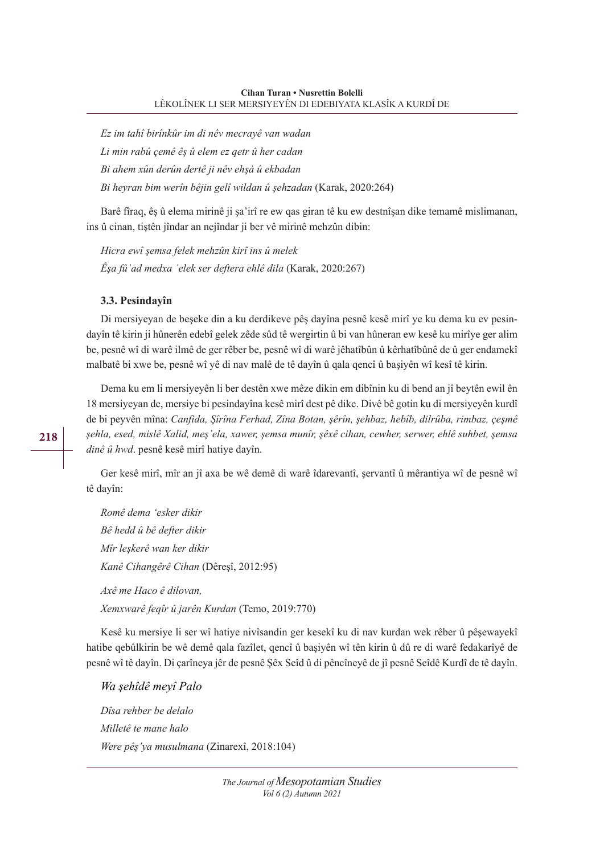*Ez im tahî birînkûr im di nêv mecrayê van wadan*

*Li min rabû çemê êş û elem ez qetr û her cadan*

*Bi ahem xûn derûn dertê ji nêv ehşaʾ û ekbadan*

*Bi heyran bim werîn bêjin gelî wildan û şehzadan* (Karak, 2020:264)

Barê fîraq, êş û elema mirinê ji şa'irî re ew qas giran tê ku ew destnîşan dike temamê mislimanan, ins û cinan, tiştên jîndar an nejîndar ji ber vê mirinê mehzûn dibin:

*Hicra ewî şemsa felek mehzûn kirî ins û melek Êşa fûʾad medxa ʿelek ser deftera ehlê dila* (Karak, 2020:267)

## **3.3. Pesindayîn**

Di mersiyeyan de beşeke din a ku derdikeve pêş dayîna pesnê kesê mirî ye ku dema ku ev pesindayîn tê kirin ji hûnerên edebî gelek zêde sûd tê wergirtin û bi van hûneran ew kesê ku mirîye ger alim be, pesnê wî di warê ilmê de ger rêber be, pesnê wî di warê jêhatîbûn û kêrhatîbûnê de û ger endamekî malbatê bi xwe be, pesnê wî yê di nav malê de tê dayîn û qala qencî û başiyên wî kesî tê kirin.

Dema ku em li mersiyeyên li ber destên xwe mêze dikin em dibînin ku di bend an jî beytên ewil ên 18 mersiyeyan de, mersiye bi pesindayîna kesê mirî dest pê dike. Divê bê gotin ku di mersiyeyên kurdî de bi peyvên mîna: *Canfida, Şîrîna Ferhad, Zîna Botan, şêrîn, şehbaz, hebîb, dilrûba, rimbaz, çeşmê şehla, esed, mislê Xalid, meş'ela, xawer, şemsa munîr, şêxê cihan, cewher, serwer, ehlê suhbet, şemsa dinê û hwd*. pesnê kesê mirî hatiye dayîn.

Ger kesê mirî, mîr an jî axa be wê demê di warê îdarevantî, şervantî û mêrantiya wî de pesnê wî tê dayîn:

*Romê dema 'esker dikir Bê hedd û bê defter dikir Mîr leşkerê wan ker dikir Kanê Cihangêrê Cihan* (Dêreşî, 2012:95) *Axê me Haco ê dilovan, Xemxwarê feqîr û jarên Kurdan* (Temo, 2019:770)

Kesê ku mersiye li ser wî hatiye nivîsandin ger kesekî ku di nav kurdan wek rêber û pêşewayekî hatibe qebûlkirin be wê demê qala fazîlet, qencî û başiyên wî tên kirin û dû re di warê fedakarîyê de pesnê wî tê dayîn. Di çarîneya jêr de pesnê Şêx Seîd û di pêncîneyê de jî pesnê Seîdê Kurdî de tê dayîn.

*Wa şehîdê meyî Palo*

*Dîsa rehber be delalo Milletê te mane halo Were pêş'ya musulmana* (Zinarexî, 2018:104)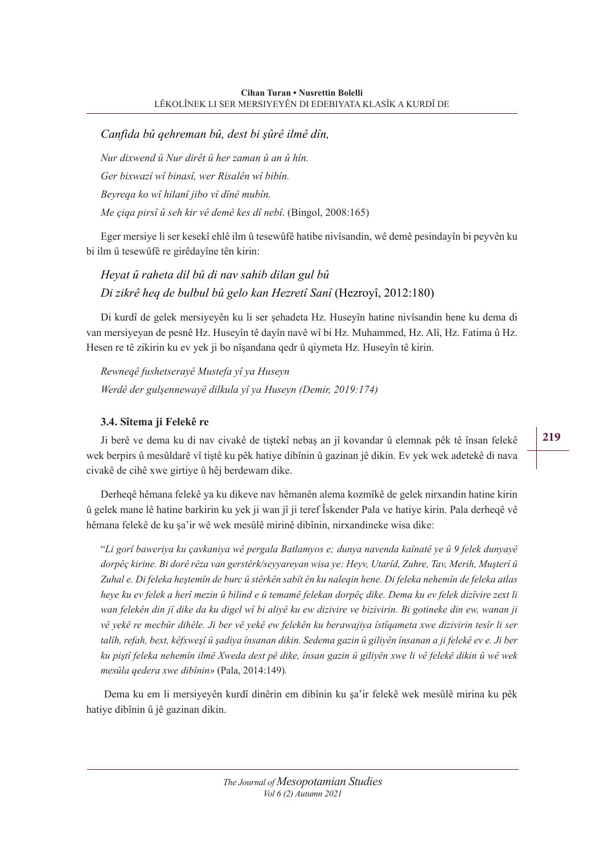# *Canfida bû qehreman bû, dest bi şûrê ilmê dîn,*

*Nur dixwend û Nur dirêt û her zaman û an û hîn. Ger bixwazî wî binasî, wer Risalên wî bibîn. Beyreqa ko wî hilanî jibo vî dînê mubîn. Me çiqa pirsî û seh kir vê demê kes dî nebî*. (Bingol, 2008:165)

Eger mersiye li ser kesekî ehlê ilm û tesewûfê hatibe nivîsandin, wê demê pesindayîn bi peyvên ku bi ilm û tesewûfê re girêdayîne tên kirin:

# *Heyat û raheta dil bû di nav sahib dilan gul bû Di zikrê heq de bulbul bû gelo kan Hezretî Sanî* (Hezroyî, 2012:180)

Di kurdî de gelek mersiyeyên ku li ser şehadeta Hz. Huseyîn hatine nivîsandin hene ku dema di van mersiyeyan de pesnê Hz. Huseyîn tê dayîn navê wî bi Hz. Muhammed, Hz. Alî, Hz. Fatima û Hz. Hesen re tê zikirin ku ev yek ji bo nîşandana qedr û qiymeta Hz. Huseyîn tê kirin.

*Rewneqê fushetserayê Mustefa yî ya Huseyn Werdê der gulşennewayê dilkula yî ya Huseyn (Demir, 2019:174)*

# **3.4. Sîtema ji Felekê re**

Ji berê ve dema ku di nav civakê de tiştekî nebaş an jî kovandar û elemnak pêk tê însan felekê wek berpirs û mesûldarê vî tiştê ku pêk hatiye dibînin û gazinan jê dikin. Ev yek wek adetekê di nava civakê de cihê xwe girtiye û hêj berdewam dike.

Derheqê hêmana felekê ya ku dikeve nav hêmanên alema kozmîkê de gelek nirxandin hatine kirin û gelek mane lê hatine barkirin ku yek ji wan jî ji teref Îskender Pala ve hatiye kirin. Pala derheqê vê hêmana felekê de ku şa'ir wê wek mesûlê mirinê dibînin, nirxandineke wisa dike:

"*Li gorî baweriya ku çavkaniya wê pergala Batlamyos e; dunya navenda kaînatê ye û 9 felek dunyayê dorpêç kirine. Bi dorê rêza van gerstêrk/seyyareyan wisa ye: Heyv, Utarîd, Zuhre, Tav, Merih, Muşterî û Zuhal e. Di feleka heştemîn de burc û stêrkên sabît ên ku naleqin hene. Di feleka nehemîn de feleka atlas heye ku ev felek a herî mezin û bilind e û temamê felekan dorpêç dike. Dema ku ev felek dizîvire zext li wan felekên din jî dike da ku digel wî bi aliyê ku ew dizivire ve bizivirin. Bi gotineke din ew, wanan ji vê yekê re mecbûr dihêle. Ji ber vê yekê ew felekên ku berawajiya îstîqameta xwe dizivirin tesîr li ser talîh, refah, bext, kêfxweşî û şadiya însanan dikin. Sedema gazin û giliyên însanan a ji felekê ev e. Ji ber ku piştî feleka nehemîn ilmê Xweda dest pê dike, însan gazin û giliyên xwe li vê felekê dikin û wê wek mesûla qedera xwe dibînin»* (Pala, 2014:149)*.*

 Dema ku em li mersiyeyên kurdî dinêrin em dibînin ku şa'ir felekê wek mesûlê mirina ku pêk hatiye dibînin û jê gazinan dikin.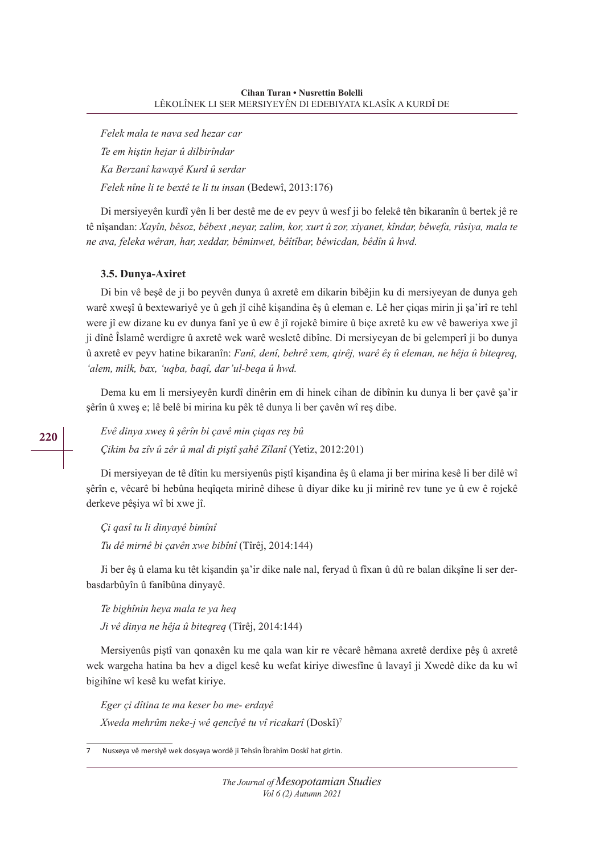*Felek mala te nava sed hezar car Te em hiştin hejar û dilbirîndar Ka Berzanî kawayê Kurd û serdar Felek nîne li te bextê te li tu insan* (Bedewî, 2013:176)

Di mersiyeyên kurdî yên li ber destê me de ev peyv û wesf ji bo felekê tên bikaranîn û bertek jê re tê nîşandan: *Xayîn, bêsoz, bêbext ,neyar, zalim, kor, xurt û zor, xiyanet, kîndar, bêwefa, rûsiya, mala te ne ava, feleka wêran, har, xeddar, bêminwet, bêîtîbar, bêwicdan, bêdîn û hwd.*

## **3.5. Dunya-Axiret**

Di bin vê beşê de ji bo peyvên dunya û axretê em dikarin bibêjin ku di mersiyeyan de dunya geh warê xweşî û bextewariyê ye û geh jî cihê kişandina êş û eleman e. Lê her çiqas mirin ji şa'irî re tehl were jî ew dizane ku ev dunya fanî ye û ew ê jî rojekê bimire û biçe axretê ku ew vê baweriya xwe jî ji dînê Îslamê werdigre û axretê wek warê wesletê dibîne. Di mersiyeyan de bi gelemperî ji bo dunya û axretê ev peyv hatine bikaranîn: *Fanî, denî, behrê xem, qirêj, warê êş û eleman, ne hêja û biteqreq, 'alem, milk, bax, 'uqba, baqî, dar'ul-beqa û hwd.*

Dema ku em li mersiyeyên kurdî dinêrin em di hinek cihan de dibînin ku dunya li ber çavê şa'ir şêrîn û xweş e; lê belê bi mirina ku pêk tê dunya li ber çavên wî reş dibe.

*Evê dinya xweş û şêrîn bi çavê min çiqas reş bû Çikim ba zîv û zêr û mal di piştî şahê Zîlanî* (Yetiz, 2012:201)

Di mersiyeyan de tê dîtin ku mersiyenûs piştî kişandina êş û elama ji ber mirina kesê li ber dilê wî şêrîn e, vêcarê bi hebûna heqîqeta mirinê dihese û diyar dike ku ji mirinê rev tune ye û ew ê rojekê derkeve pêşiya wî bi xwe jî.

*Çi qasî tu li dinyayê bimînî*

*Tu dê mirnê bi çavên xwe bibînî* (Tîrêj, 2014:144)

Ji ber êş û elama ku têt kişandin şa'ir dike nale nal, feryad û fîxan û dû re balan dikşîne li ser derbasdarbûyîn û fanîbûna dinyayê.

*Te bighînin heya mala te ya heq Ji vê dinya ne hêja û biteqreq* (Tîrêj, 2014:144)

Mersiyenûs piştî van qonaxên ku me qala wan kir re vêcarê hêmana axretê derdixe pêş û axretê wek wargeha hatina ba hev a digel kesê ku wefat kiriye diwesfîne û lavayî ji Xwedê dike da ku wî bigihîne wî kesê ku wefat kiriye.

*Eger çi dîtina te ma keser bo me- erdayê Xweda mehrûm neke-j wê qencîyê tu vî ricakarî* (Doskî)7

7 Nusxeya vê mersiyê wek dosyaya wordê ji Tehsîn Îbrahîm Doskî hat girtin.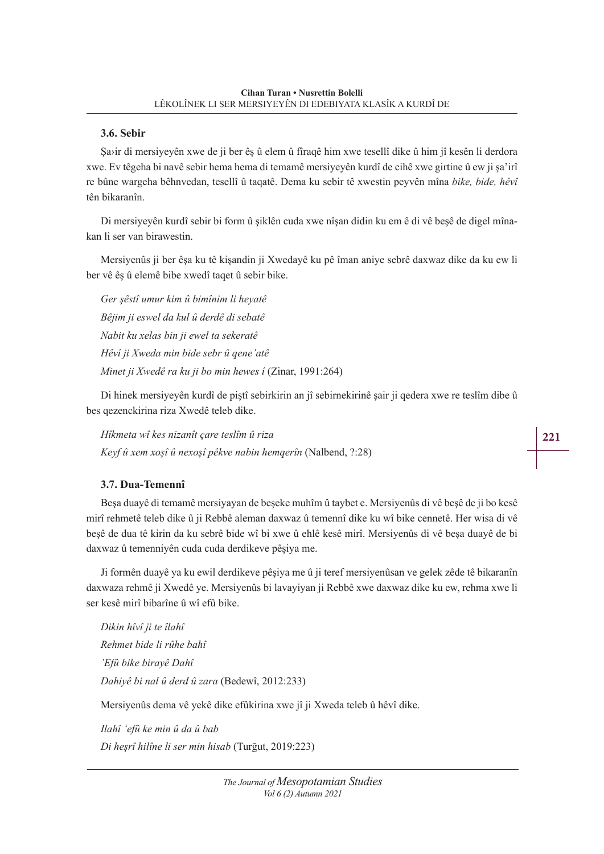## **3.6. Sebir**

Şa›ir di mersiyeyên xwe de ji ber êş û elem û fîraqê him xwe tesellî dike û him jî kesên li derdora xwe. Ev têgeha bi navê sebir hema hema di temamê mersiyeyên kurdî de cihê xwe girtine û ew ji şa'irî re bûne wargeha bêhnvedan, tesellî û taqatê. Dema ku sebir tê xwestin peyvên mîna *bike, bide, hêvî* tên bikaranîn.

Di mersiyeyên kurdî sebir bi form û şiklên cuda xwe nîşan didin ku em ê di vê beşê de digel mînakan li ser van birawestin.

Mersiyenûs ji ber êşa ku tê kişandin ji Xwedayê ku pê îman aniye sebrê daxwaz dike da ku ew li ber vê êş û elemê bibe xwedî taqet û sebir bike.

*Ger şêstî umur kim û bimînim li heyatê Bêjim ji eswel da kul û derdê di sebatê Nabit ku xelas bin ji ewel ta sekeratê Hêvî ji Xweda min bide sebr û qene'atê Minet ji Xwedê ra ku ji bo min hewes î* (Zinar, 1991:264)

Di hinek mersiyeyên kurdî de piştî sebirkirin an jî sebirnekirinê şair ji qedera xwe re teslîm dibe û bes qezenckirina riza Xwedê teleb dike.

*Hîkmeta wî kes nizanît çare teslîm û riza Keyf û xem xoşî û nexoşî pêkve nabin hemqerîn* (Nalbend, ?:28)

# **3.7. Dua-Temennî**

Beşa duayê di temamê mersiyayan de beşeke muhîm û taybet e. Mersiyenûs di vê beşê de ji bo kesê mirî rehmetê teleb dike û ji Rebbê aleman daxwaz û temennî dike ku wî bike cennetê. Her wisa di vê beşê de dua tê kirin da ku sebrê bide wî bi xwe û ehlê kesê mirî. Mersiyenûs di vê beşa duayê de bi daxwaz û temenniyên cuda cuda derdikeve pêşiya me.

Ji formên duayê ya ku ewil derdikeve pêşiya me û ji teref mersiyenûsan ve gelek zêde tê bikaranîn daxwaza rehmê ji Xwedê ye. Mersiyenûs bi lavayiyan ji Rebbê xwe daxwaz dike ku ew, rehma xwe li ser kesê mirî bibarîne û wî efû bike.

*Dikin hîvî ji te îlahî Rehmet bide li rûhe bahî 'Efû bike birayê Dahî Dahiyê bi nal û derd û zara* (Bedewî, 2012:233)

Mersiyenûs dema vê yekê dike efûkirina xwe jî ji Xweda teleb û hêvî dike.

*Ilahî 'efû ke min û da û bab Di heşrî hilîne li ser min hisab* (Turğut, 2019:223)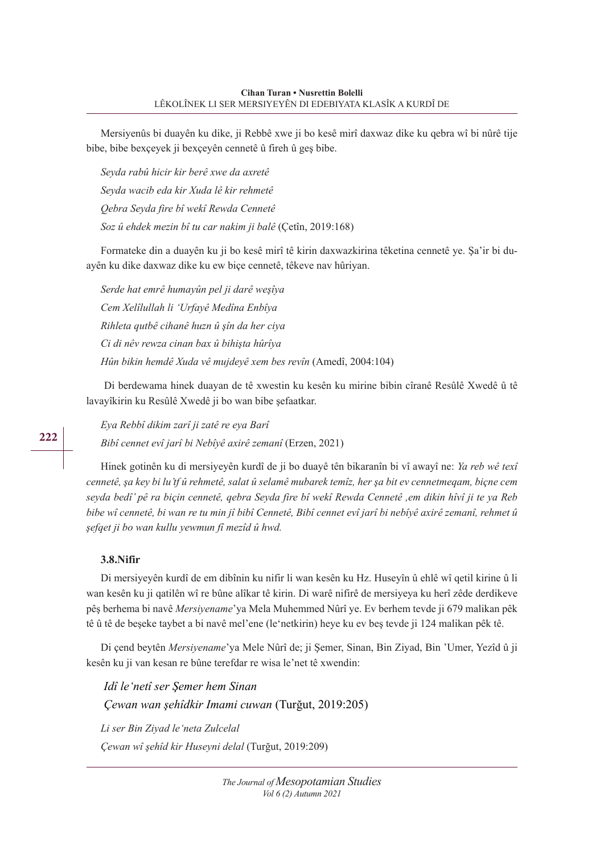Mersiyenûs bi duayên ku dike, ji Rebbê xwe ji bo kesê mirî daxwaz dike ku qebra wî bi nûrê tije bibe, bibe bexçeyek ji bexçeyên cennetê û fireh û geş bibe.

*Seyda rabû hicir kir berê xwe da axretê Seyda wacib eda kir Xuda lê kir rehmetê Qebra Seyda fire bî wekî Rewda Cennetê Soz û ehdek mezin bî tu car nakim ji balê* (Çetîn, 2019:168)

Formateke din a duayên ku ji bo kesê mirî tê kirin daxwazkirina têketina cennetê ye. Şa'ir bi duayên ku dike daxwaz dike ku ew biçe cennetê, têkeve nav hûriyan.

*Serde hat emrê humayûn pel ji darê weşîya Cem Xelîlullah li 'Urfayê Medîna Enbîya Rihleta qutbê cihanê huzn û şîn da her ciya Ci di nêv rewza cinan bax û bihişta hûrîya Hûn bikin hemdê Xuda vê mujdeyê xem bes revîn* (Amedî, 2004:104)

 Di berdewama hinek duayan de tê xwestin ku kesên ku mirine bibin cîranê Resûlê Xwedê û tê lavayîkirin ku Resûlê Xwedê ji bo wan bibe şefaatkar.

*Eya Rebbî dikim zarî ji zatê re eya Barî Bibî cennet evî jarî bi Nebîyê axirê zemanî* (Erzen, 2021)

Hinek gotinên ku di mersiyeyên kurdî de ji bo duayê tên bikaranîn bi vî awayî ne: *Ya reb wê texî cennetê, şa key bi lu'tf û rehmetê, salat û selamê mubarek temîz, her şa bit ev cennetmeqam, biçne cem seyda bedî' pê ra biçin cennetê, qebra Seyda fire bî wekî Rewda Cennetê ,em dikin hîvî ji te ya Reb bibe wî cennetê, bi wan re tu min jî bibî Cennetê, Bibî cennet evî jarî bi nebîyê axirê zemanî, rehmet û şefqet ji bo wan kullu yewmun fî mezîd û hwd.*

## **3.8.Nifir**

Di mersiyeyên kurdî de em dibînin ku nifir li wan kesên ku Hz. Huseyîn û ehlê wî qetil kirine û li wan kesên ku ji qatilên wî re bûne alîkar tê kirin. Di warê nifirê de mersiyeya ku herî zêde derdikeve pêş berhema bi navê *Mersiyename*'ya Mela Muhemmed Nûrî ye. Ev berhem tevde ji 679 malikan pêk tê û tê de beşeke taybet a bi navê mel'ene (le'netkirin) heye ku ev beş tevde ji 124 malikan pêk tê.

Di çend beytên *Mersiyename*'ya Mele Nûrî de; ji Şemer, Sinan, Bin Ziyad, Bin 'Umer, Yezîd û ji kesên ku ji van kesan re bûne terefdar re wisa le'net tê xwendin:

*Idî le'netî ser Şemer hem Sinan Çewan wan şehîdkir Imami cuwan* (Turğut, 2019:205) *Li ser Bin Ziyad le'neta Zulcelal*

*Çewan wî şehîd kir Huseyni delal* (Turğut, 2019:209)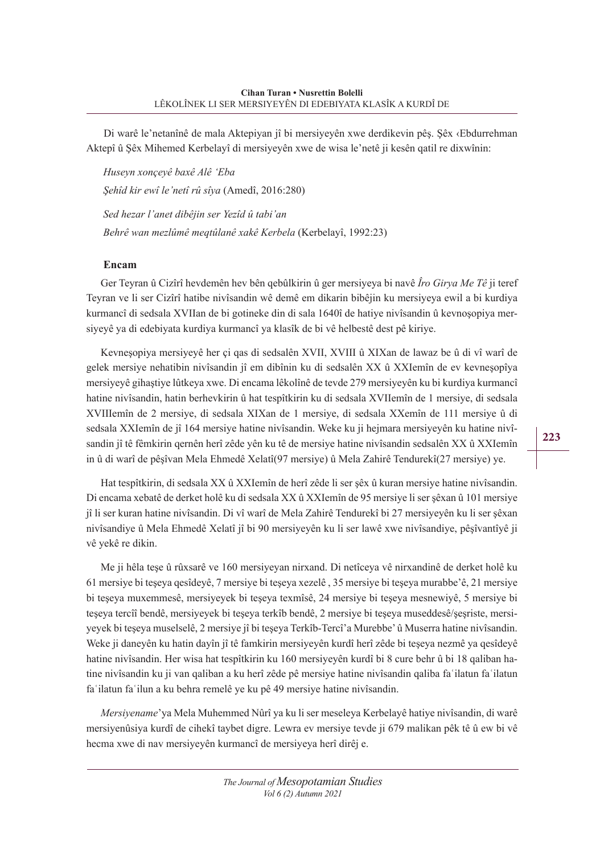Di warê le'netanînê de mala Aktepiyan jî bi mersiyeyên xwe derdikevin pêş. Şêx ‹Ebdurrehman Aktepî û Şêx Mihemed Kerbelayî di mersiyeyên xwe de wisa le'netê ji kesên qatil re dixwînin:

*Huseyn xonçeyê baxê Alê 'Eba Şehîd kir ewî le'netî rû sîya* (Amedî, 2016:280)  *Sed hezar l'anet dibêjin ser Yezîd û tabi'an Behrê wan mezlûmê meqtûlanê xakê Kerbela* (Kerbelayî, 1992:23)

#### **Encam**

Ger Teyran û Cizîrî hevdemên hev bên qebûlkirin û ger mersiyeya bi navê *Îro Girya Me Tê* ji teref Teyran ve li ser Cizîrî hatibe nivîsandin wê demê em dikarin bibêjin ku mersiyeya ewil a bi kurdiya kurmancî di sedsala XVIIan de bi gotineke din di sala 1640î de hatiye nivîsandin û kevnoşopiya mersiyeyê ya di edebiyata kurdiya kurmancî ya klasîk de bi vê helbestê dest pê kiriye.

Kevneşopiya mersiyeyê her çi qas di sedsalên XVII, XVIII û XIXan de lawaz be û di vî warî de gelek mersiye nehatibin nivîsandin jî em dibînin ku di sedsalên XX û XXIemîn de ev kevneşopîya mersiyeyê gihaştiye lûtkeya xwe. Di encama lêkolînê de tevde 279 mersiyeyên ku bi kurdiya kurmancî hatine nivîsandin, hatin berhevkirin û hat tespîtkirin ku di sedsala XVIIemîn de 1 mersiye, di sedsala XVIIIemîn de 2 mersiye, di sedsala XIXan de 1 mersiye, di sedsala XXemîn de 111 mersiye û di sedsala XXIemîn de jî 164 mersiye hatine nivîsandin. Weke ku ji hejmara mersiyeyên ku hatine nivîsandin jî tê fêmkirin qernên herî zêde yên ku tê de mersiye hatine nivîsandin sedsalên XX û XXIemîn in û di warî de pêşîvan Mela Ehmedê Xelatî(97 mersiye) û Mela Zahirê Tendurekî(27 mersiye) ye.

Hat tespîtkirin, di sedsala XX û XXIemîn de herî zêde li ser şêx û kuran mersiye hatine nivîsandin. Di encama xebatê de derket holê ku di sedsala XX û XXIemîn de 95 mersiye li ser şêxan û 101 mersiye jî li ser kuran hatine nivîsandin. Di vî warî de Mela Zahirê Tendurekî bi 27 mersiyeyên ku li ser şêxan nivîsandiye û Mela Ehmedê Xelatî jî bi 90 mersiyeyên ku li ser lawê xwe nivîsandiye, pêşîvantîyê ji vê yekê re dikin.

Me ji hêla teşe û rûxsarê ve 160 mersiyeyan nirxand. Di netîceya vê nirxandinê de derket holê ku 61 mersiye bi teşeya qesîdeyê, 7 mersiye bi teşeya xezelê , 35 mersiye bi teşeya murabbe'ê, 21 mersiye bi teşeya muxemmesê, mersiyeyek bi teşeya texmîsê, 24 mersiye bi teşeya mesnewiyê, 5 mersiye bi teşeya tercîî bendê, mersiyeyek bi teşeya terkîb bendê, 2 mersiye bi teşeya museddesê/şeşriste, mersiyeyek bi teşeya muselselê, 2 mersiye jî bi teşeya Terkîb-Tercî'a Murebbe' û Muserra hatine nivîsandin. Weke ji daneyên ku hatin dayîn jî tê famkirin mersiyeyên kurdî herî zêde bi teşeya nezmê ya qesîdeyê hatine nivîsandin. Her wisa hat tespîtkirin ku 160 mersiyeyên kurdî bi 8 cure behr û bi 18 qaliban hatine nivîsandin ku ji van qaliban a ku herî zêde pê mersiye hatine nivîsandin qaliba faʿilatun faʿilatun faʿilatun faʿilun a ku behra remelê ye ku pê 49 mersiye hatine nivîsandin.

*Mersiyename*'ya Mela Muhemmed Nûrî ya ku li ser meseleya Kerbelayê hatiye nivîsandin, di warê mersiyenûsiya kurdî de cihekî taybet digre. Lewra ev mersiye tevde ji 679 malikan pêk tê û ew bi vê hecma xwe di nav mersiyeyên kurmancî de mersiyeya herî dirêj e.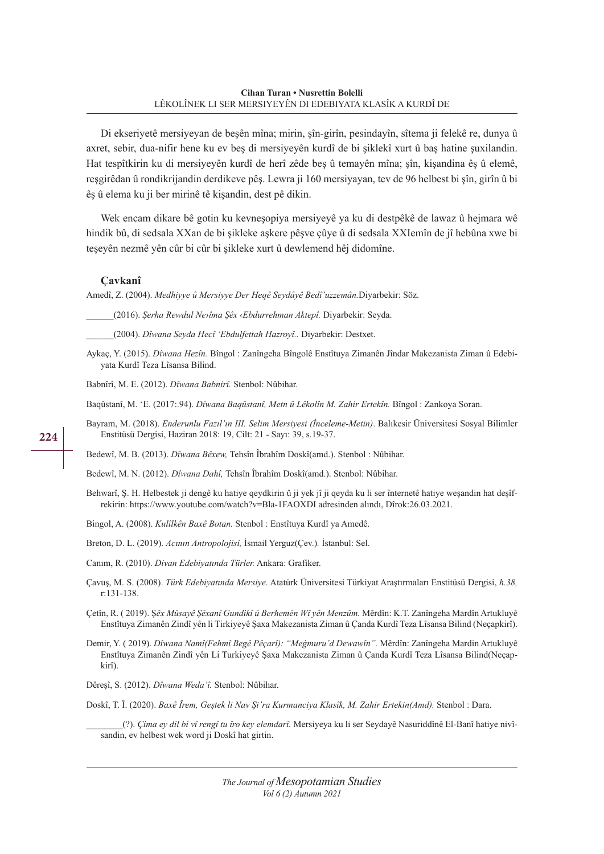Di ekseriyetê mersiyeyan de beşên mîna; mirin, şîn-girîn, pesindayîn, sîtema ji felekê re, dunya û axret, sebir, dua-nifir hene ku ev beş di mersiyeyên kurdî de bi şiklekî xurt û baş hatine şuxilandin. Hat tespîtkirin ku di mersiyeyên kurdî de herî zêde beş û temayên mîna; şîn, kişandina êş û elemê, reşgirêdan û rondikrijandin derdikeve pêş. Lewra ji 160 mersiyayan, tev de 96 helbest bi şîn, girîn û bi êş û elema ku ji ber mirinê tê kişandin, dest pê dikin.

Wek encam dikare bê gotin ku kevneşopiya mersiyeyê ya ku di destpêkê de lawaz û hejmara wê hindik bû, di sedsala XXan de bi şikleke aşkere pêşve çûye û di sedsala XXIemîn de jî hebûna xwe bi teşeyên nezmê yên cûr bi cûr bi şikleke xurt û dewlemend hêj didomîne.

#### **Çavkanî**

Amedî, Z. (2004). *Medhiyye û Mersiyye Der Heqê Seydâyê Bedî'uzzemân.*Diyarbekir: Söz.

\_\_\_\_\_\_(2016). *Şerha Rewdul Ne›îma Şêx ‹Ebdurrehman Aktepî.* Diyarbekir: Seyda.

\_\_\_\_\_\_(2004). *Dîwana Seyda Hecî 'Ebdulfettah Hazroyî..* Diyarbekir: Destxet.

Aykaç, Y. (2015). *Dîwana Hezîn.* Bîngol : Zanîngeha Bîngolê Enstîtuya Zimanên Jîndar Makezanista Ziman û Edebiyata Kurdî Teza Lîsansa Bilind.

Babnîrî, M. E. (2012). *Dîwana Babnirî.* Stenbol: Nûbihar.

Baqûstanî, M. 'E. (2017:.94). *Dîwana Baqûstanî, Metn û Lêkolîn M. Zahir Ertekîn.* Bîngol : Zankoya Soran.

Bayram, M. (2018). *Enderunlu Fazıl'ın III. Selim Mersiyesi (İnceleme-Metin)*. Balıkesir Üniversitesi Sosyal Bilimler Enstitüsü Dergisi, Haziran 2018: 19, Cilt: 21 - Sayı: 39, s.19-37.

Bedewî, M. B. (2013). *Dîwana Bêxew,* Tehsîn Îbrahîm Doskî(amd.). Stenbol : Nûbihar.

Bedewî, M. N. (2012). *Dîwana Dahî,* Tehsîn Îbrahîm Doskî(amd.). Stenbol: Nûbihar.

Behwarî, Ş. H. Helbestek ji dengê ku hatiye qeydkirin û ji yek jî ji qeyda ku li ser înternetê hatiye weşandin hat deşîfrekirin: https://www.youtube.com/watch?v=Bla-1FAOXDI adresinden alındı, Dîrok:26.03.2021.

Bingol, A. (2008). *Kulîlkên Baxê Botan.* Stenbol : Enstîtuya Kurdî ya Amedê.

Breton, D. L. (2019). *Acının Antropolojisi,* İsmail Yerguz(Çev.)*.* İstanbul: Sel.

Canım, R. (2010). *Divan Edebiyatında Türler.* Ankara: Grafiker.

Çavuş, M. S. (2008). *Türk Edebiyatında Mersiye*. Atatürk Üniversitesi Türkiyat Araştırmaları Enstitüsü Dergisi, *h.38,* r:131-138.

Çetîn, R. ( 2019). Ş*êx Mûsayê Şêxanî Gundikî û Berhemên Wî yên Menzûm.* Mêrdîn: K.T. Zanîngeha Mardîn Artukluyê Enstîtuya Zimanên Zindî yên li Tirkiyeyê Şaxa Makezanista Ziman û Çanda Kurdî Teza Lîsansa Bilind (Neçapkirî).

Demir, Y. ( 2019). *Dîwana Namî(Fehmî Begê Pêçarî): "Meġmuru'd Dewawîn".* Mêrdîn: Zanîngeha Mardin Artukluyê Enstîtuya Zimanên Zindî yên Li Turkiyeyê Şaxa Makezanista Ziman û Çanda Kurdî Teza Lîsansa Bilind(Neçapkirî).

Dêreşî, S. (2012). *Dîwana Weda'î.* Stenbol: Nûbihar.

Doskî, T. Î. (2020). *Baxê Îrem, Geştek li Nav Şi'ra Kurmanciya Klasîk, M. Zahir Ertekin(Amd).* Stenbol : Dara.

\_\_\_\_\_\_\_\_(?). *Çima ey dil bi vî rengî tu îro key elemdarî.* Mersiyeya ku li ser Seydayê Nasuriddînê El-Banî hatiye nivîsandin, ev helbest wek word ji Doskî hat girtin.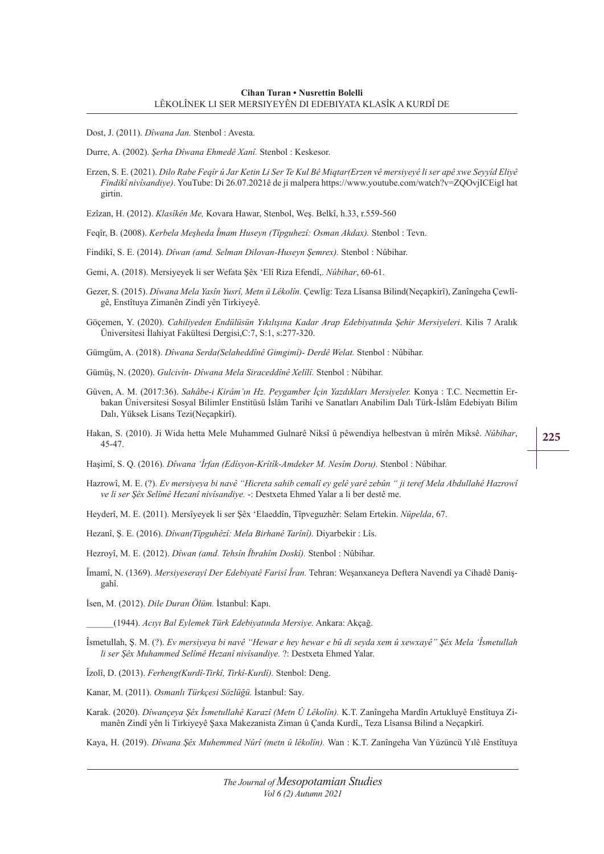Dost, J. (2011). *Dîwana Jan.* Stenbol : Avesta.

Durre, A. (2002). *Şerha Dîwana Ehmedê Xanî.* Stenbol : Keskesor.

Erzen, S. E. (2021). *Dilo Rabe Feqîr û Jar Ketin Li Ser Te Kul Bê Miqtar(Erzen vê mersiyeyê li ser apê xwe Seyyîd Eliyê Findikî nivîsandiye)*. YouTube: Di 26.07.2021ê de ji malpera https://www.youtube.com/watch?v=ZQOvjICEigI hat girtin.

Ezîzan, H. (2012). *Klasîkên Me,* Kovara Hawar, Stenbol, Weş. Belkî, h.33, r.559-560

Feqîr, B. (2008). *Kerbela Meşheda Îmam Huseyn (Tîpguhezî: Osman Akdax).* Stenbol : Tevn.

Findikî, S. E. (2014). *Dîwan (amd. Selman Dilovan-Huseyn Şemrex).* Stenbol : Nûbihar.

Gemi, A. (2018). Mersiyeyek li ser Wefata Şêx 'Elî Riza Efendî,. *Nûbihar*, 60-61.

- Gezer, S. (2015). *Dîwana Mela Yasîn Yusrî, Metn û Lêkolîn.* Çewlîg: Teza Lîsansa Bilind(Neçapkirî), Zanîngeha Çewlîgê, Enstîtuya Zimanên Zindî yên Tirkiyeyê.
- Göçemen, Y. (2020). *Cahiliyeden Endülüsün Yıkılışına Kadar Arap Edebiyatında Şehir Mersiyeleri*. Kilis 7 Aralık Üniversitesi İlahiyat Fakültesi Dergisi,C:7, S:1, s:277-320.

Gümgüm, A. (2018). *Dîwana Serda(Selaheddînê Gimgimî)- Derdê Welat.* Stenbol : Nûbihar.

Gümüş, N. (2020). *Gulcivîn- Dîwana Mela Siraceddînê Xelîlî.* Stenbol : Nûbihar.

- Güven, A. M. (2017:36). *Sahâbe-i Kirâm'ın Hz. Peygamber İçin Yazdıkları Mersiyeler.* Konya : T.C. Necmettin Erbakan Üniversitesi Sosyal Bilimler Enstitüsü İslâm Tarihi ve Sanatları Anabilim Dalı Türk-İslâm Edebiyatı Bilim Dalı, Yüksek Lisans Tezi(Neçapkirî).
- Hakan, S. (2010). Ji Wida hetta Mele Muhammed Gulnarê Niksî û pêwendiya helbestvan û mîrên Miksê. *Nûbihar*, 45-47.

Haşimî, S. Q. (2016). *Dîwana 'Îrfan (Edîsyon-Krîtîk-Amdeker M. Nesîm Doru).* Stenbol : Nûbihar.

Hazrowî, M. E. (?). *Ev mersiyeya bi navê "Hicreta sahib cemalî ey gelê yarê zebûn " ji teref Mela Abdullahê Hazrowî ve li ser Şêx Selîmê Hezanî nivîsandiye.* -: Destxeta Ehmed Yalar a li ber destê me.

Heyderî, M. E. (2011). Mersîyeyek li ser Şêx 'Elaeddîn, Tîpveguzhêr: Selam Ertekin. *Nûpelda*, 67.

Hezanî, Ş. E. (2016). *Dîwan(Tîpguhêzî: Mela Birhanê Tarînî).* Diyarbekir : Lîs.

Hezroyî, M. E. (2012). *Dîwan (amd. Tehsîn Îbrahîm Doskî).* Stenbol : Nûbihar.

Îmamî, N. (1369). *Mersiyeserayî Der Edebiyatê Farisî Îran.* Tehran: Weşanxaneya Deftera Navendî ya Cihadê Danişgahî.

İsen, M. (2012). *Dile Duran Ölüm.* İstanbul: Kapı.

\_\_\_\_\_\_(1944). *Acıyı Bal Eylemek Türk Edebiyatında Mersiye.* Ankara: Akçağ.

Îsmetullah, Ş. M. (?). *Ev mersiyeya bi navê "Hewar e hey hewar e bû di seyda xem û xewxayê" Şêx Mela 'Îsmetullah li ser Şêx Muhammed Selîmê Hezanî nivîsandiye.* ?: Destxeta Ehmed Yalar.

Îzolî, D. (2013). *Ferheng(Kurdî-Tirkî, Tirkî-Kurdî).* Stenbol: Deng.

Kanar, M. (2011). *Osmanlı Türkçesi Sözlüğü.* İstanbul: Say.

Karak. (2020). *Dîwançeya Şêx Îsmetullahê Karazî (Metn Û Lêkolîn).* K.T. Zanîngeha Mardîn Artukluyê Enstîtuya Zimanên Zindî yên li Tirkiyeyê Şaxa Makezanista Ziman û Çanda Kurdî,, Teza Lîsansa Bilind a Neçapkirî.

Kaya, H. (2019). *Dîwana Şêx Muhemmed Nûrî (metn û lêkolîn).* Wan : K.T. Zanîngeha Van Yüzüncü Yılê Enstîtuya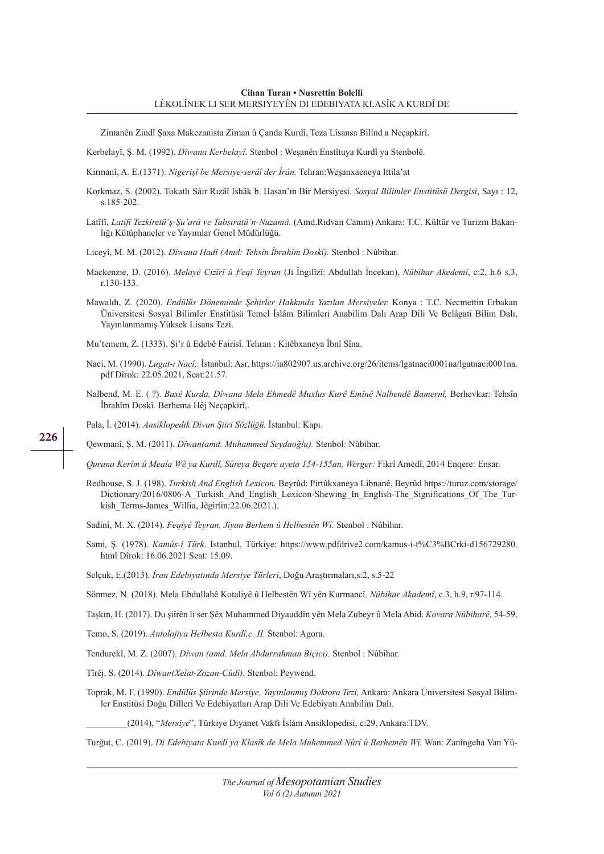Zimanên Zindî Şaxa Makezanista Ziman û Çanda Kurdî, Teza Lîsansa Bilind a Neçapkirî.

Kerbelayî, Ş. M. (1992). *Dîwana Kerbelayî.* Stenbol : Weşanên Enstîtuya Kurdî ya Stenbolê.

Kirmanî, A. E.(1371). *Nigerişî be Mersiye-serâî der İrân.* Tehran:Weşanxaeneya Ittila'at

- Korkmaz, S. (2002). Tokatlı Sâır Rızâî Ishâk b. Hasan'ın Bir Mersiyesi. *Sosyal Bilimler Enstitüsü Dergisi*, Sayı : 12, s.185-202.
- Latîfî, *Latîfî Tezkiretü'ş-Şu'arâ ve Tabsıratü'n-Nuzamâ.* (Amd.Rıdvan Canım) Ankara: T.C. Kültür ve Turizm Bakanlığı Kütüphaneler ve Yayımlar Genel Müdürlüğü.

Liceyî, M. M. (2012). *Dîwana Hadî (Amd: Tehsîn Îbrahîm Doskî).* Stenbol : Nûbihar.

- Mackenzie, D. (2016). *Melayê Cizîrî û Feqî Teyran* (Ji Îngilîzî: Abdullah İncekan), *Nûbihar Akedemî*, c:2, h.6 s.3, r.130-133.
- Mawaldı, Z. (2020). *Endülüs Döneminde Şehirler Hakkında Yazılan Mersiyeler.* Konya : T.C. Necmettin Erbakan Üniversitesi Sosyal Bilimler Enstitüsü Temel İslâm Bilimleri Anabilim Dalı Arap Dili Ve Belâgati Bilim Dalı, Yayınlanmamış Yüksek Lisans Tezi.

Mu'temem, Z. (1333). Şi'r û Edebê Fairisî. Tehran : Kitêbxaneya Îbnî Sîna.

- Naci, M. (1990). *Lugat-ı Nacî,.* İstanbul: Asr, https://ia802907.us.archive.org/26/items/lgatnaci0001na/lgatnaci0001na. pdf Dîrok: 22.05.2021, Seat:21.57.
- Nalbend, M. E. (?). *Baxê Kurda, Dîwana Mela Ehmedê Muxlus Kurê Emînê Nalbendê Bamernî*, Berhevkar: Tehsîn Îbrahîm Doskî*.* Berhema Hêj Neçapkirî,.

Pala, İ. (2014). *Ansiklopedik Divan Şiiri Sözlüğü.* İstanbul: Kapı.

Qewmanî, Ş. M. (2011). *Dîwan(amd. Muhammed Seydaoğlu).* Stenbol: Nûbihar.

*Qurana Kerîm û Meala Wê ya Kurdî, Sûreya Beqere ayeta 154-155an, Werger:* Fikrî Amedî, 2014 Enqere: Ensar.

Redhouse, S. J. (198). *Turkish And English Lexicon.* Beyrûd: Pirtûkxaneya Libnanê, Beyrûd https://turuz.com/storage/ Dictionary/2016/0806-A\_Turkish\_And\_English\_Lexicon-Shewing\_In\_English-The\_Significations\_Of\_The\_Turkish Terms-James Willia, Jêgirtin:22.06.2021.).

Sadinî, M. X. (2014). *Feqiyê Teyran, Jiyan Berhem û Helbestên Wî.* Stenbol : Nûbihar.

Sami, Ş. (1978). *Kamûs-i Türk*. İstanbul, Türkiye: https://www.pdfdrive2.com/kamus-i-t%C3%BCrki-d156729280. html Dîrok: 16.06.2021 Seat: 15.09.

Selçuk, E.(2013). *İran Edebiyatında Mersiye Türleri*, Doğu Araştırmaları,s:2, s.5-22

Sönmez, N. (2018). Mela Ebdullahê Kotaliyê û Helbestên Wî yên Kurmancî. *Nûbihar Akademî*, c.3, h.9, r.97-114.

Taşkın, H. (2017). Du şiîrên li ser Şêx Muhammed Diyauddîn yên Mela Zubeyr û Mela Abid. *Kovara Nûbiharê*, 54-59.

Temo, S. (2019). *Antolojiya Helbesta Kurdî,c. II.* Stenbol: Agora.

Tendurekî, M. Z. (2007). *Dîwan (amd. Mela Abdurrahman Biçici).* Stenbol : Nûbihar.

Tîrêj, S. (2014). *Dîwan(Xelat-Zozan-Cûdî).* Stenbol: Peywend.

Toprak, M. F. (1990). *Endülüs Şiirinde Mersiye, Yayınlanmış Doktora Tezi,* Ankara: Ankara Üniversitesi Sosyal Bilimler Enstitüsi Doğu Dilleri Ve Edebiyatları Arap Dili Ve Edebiyatı Anabilim Dalı.

\_\_\_\_\_\_\_\_\_(2014), "*Mersiye*", Türkiye Diyanet Vakfı İslâm Ansiklopedisi, c:29, Ankara:TDV.

Turğut, C. (2019). *Di Edebiyata Kurdî ya Klasîk de Mela Muhemmed Nûrî û Berhemên Wî.* Wan: Zanîngeha Van Yü-